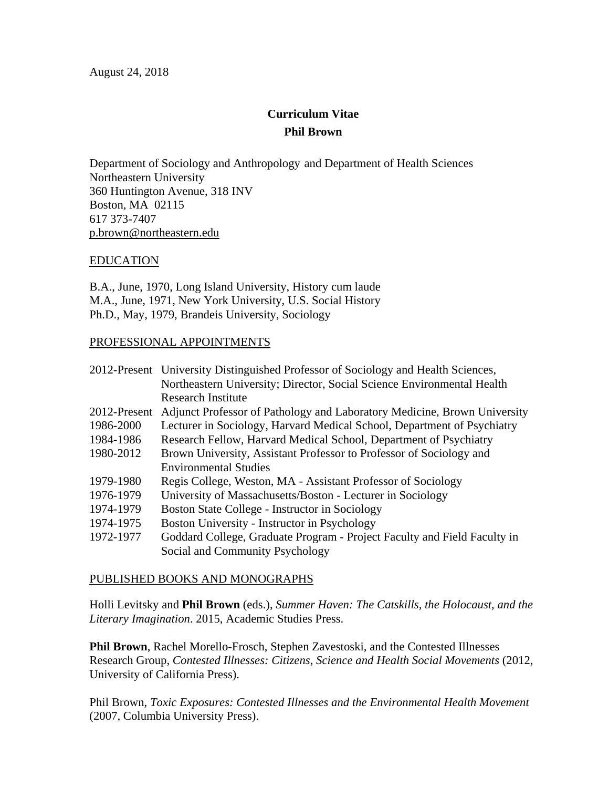# **Curriculum Vitae Phil Brown**

Department of Sociology and Anthropology and Department of Health Sciences Northeastern University 360 Huntington Avenue, 318 INV Boston, MA 02115 617 373-7407 p.brown@northeastern.edu

# EDUCATION

B.A., June, 1970, Long Island University, History cum laude M.A., June, 1971, New York University, U.S. Social History Ph.D., May, 1979, Brandeis University, Sociology

# PROFESSIONAL APPOINTMENTS

|              | 2012-Present University Distinguished Professor of Sociology and Health Sciences, |
|--------------|-----------------------------------------------------------------------------------|
|              | Northeastern University; Director, Social Science Environmental Health            |
|              | <b>Research Institute</b>                                                         |
| 2012-Present | Adjunct Professor of Pathology and Laboratory Medicine, Brown University          |
| 1986-2000    | Lecturer in Sociology, Harvard Medical School, Department of Psychiatry           |
| 1984-1986    | Research Fellow, Harvard Medical School, Department of Psychiatry                 |
| 1980-2012    | Brown University, Assistant Professor to Professor of Sociology and               |
|              | <b>Environmental Studies</b>                                                      |
| 1979-1980    | Regis College, Weston, MA - Assistant Professor of Sociology                      |
| 1976-1979    | University of Massachusetts/Boston - Lecturer in Sociology                        |
| 1974-1979    | Boston State College - Instructor in Sociology                                    |
| 1974-1975    | Boston University - Instructor in Psychology                                      |
| 1972-1977    | Goddard College, Graduate Program - Project Faculty and Field Faculty in          |
|              | Social and Community Psychology                                                   |

#### PUBLISHED BOOKS AND MONOGRAPHS

Holli Levitsky and **Phil Brown** (eds.), *Summer Haven: The Catskills, the Holocaust, and the Literary Imagination*. 2015, Academic Studies Press.

**Phil Brown**, Rachel Morello-Frosch, Stephen Zavestoski, and the Contested Illnesses Research Group, *Contested Illnesses: Citizens, Science and Health Social Movements* (2012, University of California Press).

Phil Brown, *Toxic Exposures: Contested Illnesses and the Environmental Health Movement* (2007, Columbia University Press).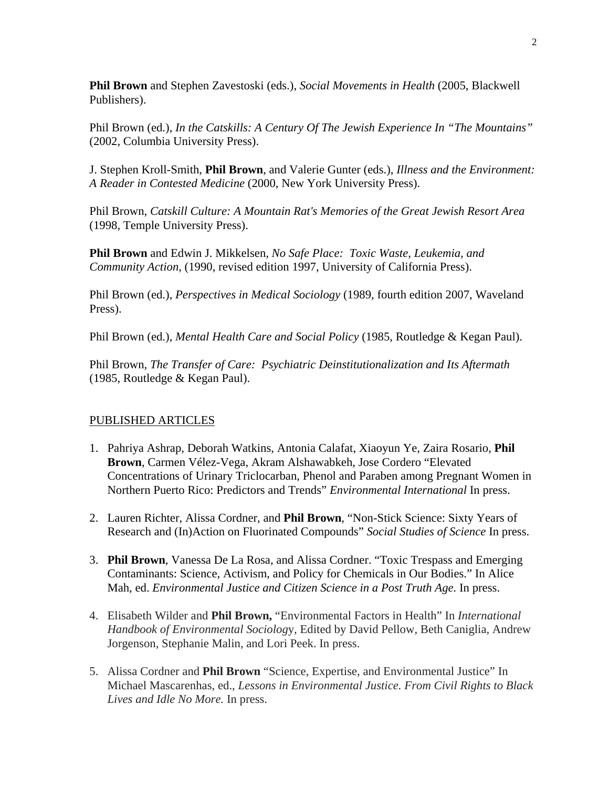**Phil Brown** and Stephen Zavestoski (eds.), *Social Movements in Health* (2005, Blackwell Publishers).

Phil Brown (ed.), *In the Catskills: A Century Of The Jewish Experience In "The Mountains"* (2002, Columbia University Press).

J. Stephen Kroll-Smith, **Phil Brown**, and Valerie Gunter (eds.), *Illness and the Environment: A Reader in Contested Medicine* (2000, New York University Press).

Phil Brown, *Catskill Culture: A Mountain Rat's Memories of the Great Jewish Resort Area* (1998, Temple University Press).

**Phil Brown** and Edwin J. Mikkelsen*, No Safe Place: Toxic Waste, Leukemia, and Community Action*, (1990, revised edition 1997, University of California Press).

Phil Brown (ed.), *Perspectives in Medical Sociology* (1989, fourth edition 2007, Waveland Press).

Phil Brown (ed.), *Mental Health Care and Social Policy* (1985, Routledge & Kegan Paul).

Phil Brown, *The Transfer of Care: Psychiatric Deinstitutionalization and Its Aftermath* (1985, Routledge & Kegan Paul).

# PUBLISHED ARTICLES

- 1. Pahriya Ashrap, Deborah Watkins, Antonia Calafat, Xiaoyun Ye, Zaira Rosario, **Phil Brown**, Carmen Vélez-Vega, Akram Alshawabkeh, Jose Cordero "Elevated Concentrations of Urinary Triclocarban, Phenol and Paraben among Pregnant Women in Northern Puerto Rico: Predictors and Trends" *Environmental International* In press.
- 2. Lauren Richter, Alissa Cordner, and **Phil Brown**, "Non-Stick Science: Sixty Years of Research and (In)Action on Fluorinated Compounds" *Social Studies of Science* In press.
- 3. **Phil Brown**, Vanessa De La Rosa, and Alissa Cordner. "Toxic Trespass and Emerging Contaminants: Science, Activism, and Policy for Chemicals in Our Bodies." In Alice Mah, ed. *Environmental Justice and Citizen Science in a Post Truth Age.* In press.
- 4. Elisabeth Wilder and **Phil Brown,** "Environmental Factors in Health" In *International Handbook of Environmental Sociolog*y, Edited by David Pellow, Beth Caniglia, Andrew Jorgenson, Stephanie Malin, and Lori Peek. In press.
- 5. Alissa Cordner and **Phil Brown** "Science, Expertise, and Environmental Justice" In Michael Mascarenhas, ed., *Lessons in Environmental Justice. From Civil Rights to Black Lives and Idle No More.* In press.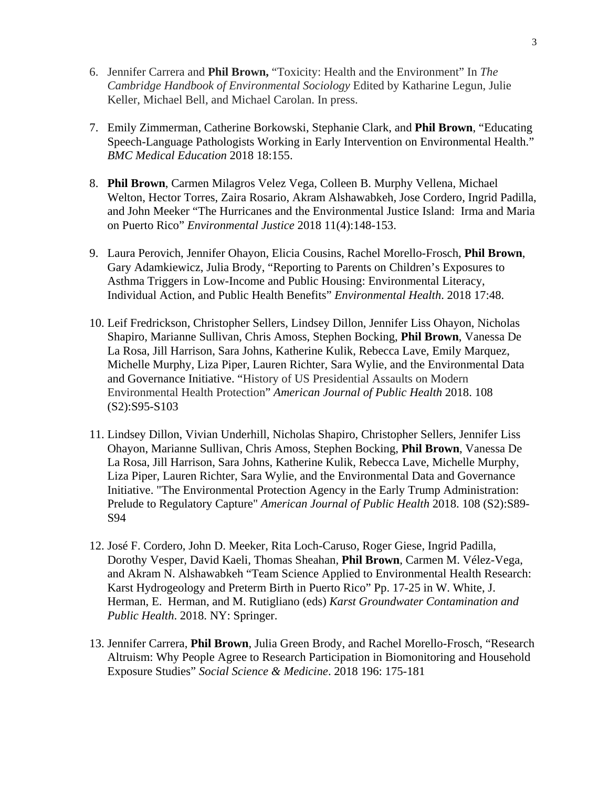- 6. Jennifer Carrera and **Phil Brown,** "Toxicity: Health and the Environment" In *The Cambridge Handbook of Environmental Sociology* Edited by Katharine Legun, Julie Keller, Michael Bell, and Michael Carolan. In press.
- 7. Emily Zimmerman, Catherine Borkowski, Stephanie Clark, and **Phil Brown**, "Educating Speech-Language Pathologists Working in Early Intervention on Environmental Health." *BMC Medical Education* 2018 18:155.
- 8. **Phil Brown**, Carmen Milagros Velez Vega, Colleen B. Murphy Vellena, Michael Welton, Hector Torres, Zaira Rosario, Akram Alshawabkeh, Jose Cordero, Ingrid Padilla, and John Meeker "The Hurricanes and the Environmental Justice Island: Irma and Maria on Puerto Rico" *Environmental Justice* 2018 11(4):148-153.
- 9. Laura Perovich, Jennifer Ohayon, Elicia Cousins, Rachel Morello-Frosch, **Phil Brown**, Gary Adamkiewicz, Julia Brody, "Reporting to Parents on Children's Exposures to Asthma Triggers in Low-Income and Public Housing: Environmental Literacy, Individual Action, and Public Health Benefits" *Environmental Health*. 2018 17:48.
- 10. Leif Fredrickson, Christopher Sellers, Lindsey Dillon, Jennifer Liss Ohayon, Nicholas Shapiro, Marianne Sullivan, Chris Amoss, Stephen Bocking, **Phil Brown**, Vanessa De La Rosa, Jill Harrison, Sara Johns, Katherine Kulik, Rebecca Lave, Emily Marquez, Michelle Murphy, Liza Piper, Lauren Richter, Sara Wylie, and the Environmental Data and Governance Initiative. "History of US Presidential Assaults on Modern Environmental Health Protection" *American Journal of Public Health* 2018. 108 (S2):S95-S103
- 11. Lindsey Dillon, Vivian Underhill, Nicholas Shapiro, Christopher Sellers, Jennifer Liss Ohayon, Marianne Sullivan, Chris Amoss, Stephen Bocking, **Phil Brown**, Vanessa De La Rosa, Jill Harrison, Sara Johns, Katherine Kulik, Rebecca Lave, Michelle Murphy, Liza Piper, Lauren Richter, Sara Wylie, and the Environmental Data and Governance Initiative. "The Environmental Protection Agency in the Early Trump Administration: Prelude to Regulatory Capture" *American Journal of Public Health* 2018. 108 (S2):S89- S94
- 12. José F. Cordero, John D. Meeker, Rita Loch-Caruso, Roger Giese, Ingrid Padilla, Dorothy Vesper, David Kaeli, Thomas Sheahan, **Phil Brown**, Carmen M. Vélez-Vega, and Akram N. Alshawabkeh "Team Science Applied to Environmental Health Research: Karst Hydrogeology and Preterm Birth in Puerto Rico" Pp. 17-25 in W. White, J. Herman, E. Herman, and M. Rutigliano (eds) *Karst Groundwater Contamination and Public Health*. 2018. NY: Springer.
- 13. Jennifer Carrera, **Phil Brown**, Julia Green Brody, and Rachel Morello-Frosch, "Research Altruism: Why People Agree to Research Participation in Biomonitoring and Household Exposure Studies" *Social Science & Medicine*. 2018 196: 175-181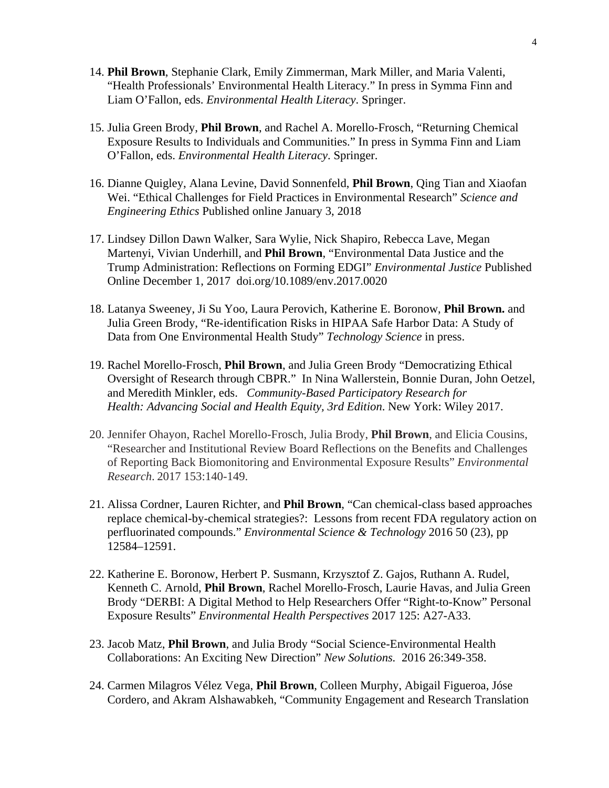- 14. **Phil Brown**, Stephanie Clark, Emily Zimmerman, Mark Miller, and Maria Valenti, "Health Professionals' Environmental Health Literacy." In press in Symma Finn and Liam O'Fallon, eds. *Environmental Health Literacy*. Springer.
- 15. Julia Green Brody, **Phil Brown**, and Rachel A. Morello-Frosch, "Returning Chemical Exposure Results to Individuals and Communities." In press in Symma Finn and Liam O'Fallon, eds. *Environmental Health Literacy*. Springer.
- 16. Dianne Quigley, Alana Levine, David Sonnenfeld, **Phil Brown**, Qing Tian and Xiaofan Wei. "Ethical Challenges for Field Practices in Environmental Research" *Science and Engineering Ethics* Published online January 3, 2018
- 17. Lindsey Dillon Dawn Walker, Sara Wylie, Nick Shapiro, Rebecca Lave, Megan Martenyi, Vivian Underhill, and **Phil Brown**, "Environmental Data Justice and the Trump Administration: Reflections on Forming EDGI" *Environmental Justice* Published Online December 1, 2017 doi.org/10.1089/env.2017.0020
- 18. Latanya Sweeney, Ji Su Yoo, Laura Perovich, Katherine E. Boronow, **Phil Brown.** and Julia Green Brody, "Re-identification Risks in HIPAA Safe Harbor Data: A Study of Data from One Environmental Health Study" *Technology Science* in press.
- 19. Rachel Morello-Frosch, **Phil Brown**, and Julia Green Brody "Democratizing Ethical Oversight of Research through CBPR." In Nina Wallerstein, Bonnie Duran, John Oetzel, and Meredith Minkler, eds. *Community-Based Participatory Research for Health: Advancing Social and Health Equity, 3rd Edition*. New York: Wiley 2017.
- 20. Jennifer Ohayon, Rachel Morello-Frosch, Julia Brody, **Phil Brown**, and Elicia Cousins, "Researcher and Institutional Review Board Reflections on the Benefits and Challenges of Reporting Back Biomonitoring and Environmental Exposure Results" *Environmental Research*. 2017 153:140-149.
- 21. Alissa Cordner, Lauren Richter, and **Phil Brown**, "Can chemical-class based approaches replace chemical-by-chemical strategies?: Lessons from recent FDA regulatory action on perfluorinated compounds." *Environmental Science & Technology* 2016 50 (23), pp 12584–12591.
- 22. Katherine E. Boronow, Herbert P. Susmann, Krzysztof Z. Gajos, Ruthann A. Rudel, Kenneth C. Arnold, **Phil Brown**, Rachel Morello-Frosch, Laurie Havas, and Julia Green Brody "DERBI: A Digital Method to Help Researchers Offer "Right-to-Know" Personal Exposure Results" *Environmental Health Perspectives* 2017 125: A27-A33.
- 23. Jacob Matz, **Phil Brown**, and Julia Brody "Social Science-Environmental Health Collaborations: An Exciting New Direction" *New Solutions.* 2016 26:349-358.
- 24. Carmen Milagros Vélez Vega, **Phil Brown**, Colleen Murphy, Abigail Figueroa, Jóse Cordero, and Akram Alshawabkeh, "Community Engagement and Research Translation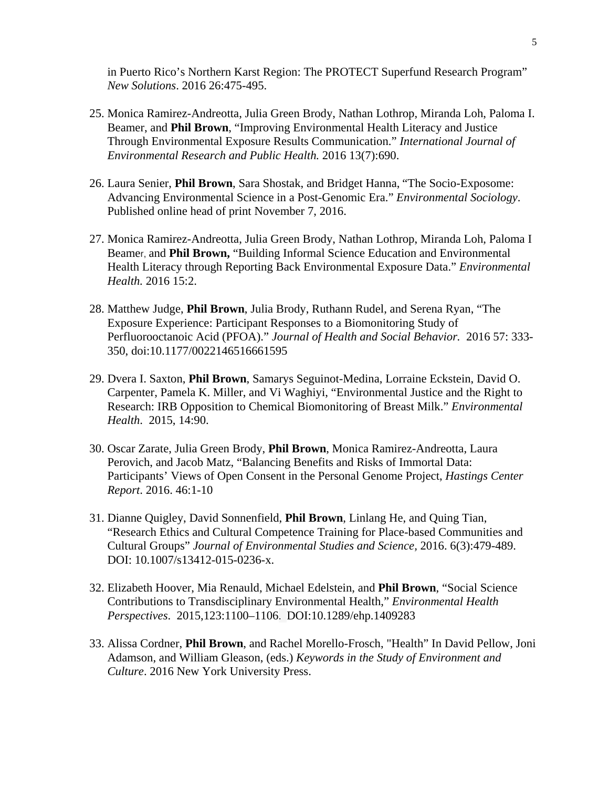in Puerto Rico's Northern Karst Region: The PROTECT Superfund Research Program" *New Solutions*. 2016 26:475-495.

- 25. Monica Ramirez-Andreotta, Julia Green Brody, Nathan Lothrop, Miranda Loh, Paloma I. Beamer, and **Phil Brown**, "Improving Environmental Health Literacy and Justice Through Environmental Exposure Results Communication." *International Journal of Environmental Research and Public Health.* 2016 13(7):690.
- 26. Laura Senier, **Phil Brown**, Sara Shostak, and Bridget Hanna, "The Socio-Exposome: Advancing Environmental Science in a Post-Genomic Era." *Environmental Sociology*. Published online head of print November 7, 2016.
- 27. Monica Ramirez-Andreotta, Julia Green Brody, Nathan Lothrop, Miranda Loh, Paloma I Beamer, and **Phil Brown,** "Building Informal Science Education and Environmental Health Literacy through Reporting Back Environmental Exposure Data." *Environmental Health.* 2016 15:2.
- 28. Matthew Judge, **Phil Brown**, Julia Brody, Ruthann Rudel, and Serena Ryan, "The Exposure Experience: Participant Responses to a Biomonitoring Study of Perfluorooctanoic Acid (PFOA)." *Journal of Health and Social Behavior.* 2016 57: 333- 350, doi:10.1177/0022146516661595
- 29. Dvera I. Saxton, **Phil Brown**, Samarys Seguinot-Medina, Lorraine Eckstein, David O. Carpenter, Pamela K. Miller, and Vi Waghiyi, "Environmental Justice and the Right to Research: IRB Opposition to Chemical Biomonitoring of Breast Milk." *Environmental Health*. 2015, 14:90.
- 30. Oscar Zarate, Julia Green Brody, **Phil Brown**, Monica Ramirez-Andreotta, Laura Perovich, and Jacob Matz, "Balancing Benefits and Risks of Immortal Data: Participants' Views of Open Consent in the Personal Genome Project, *Hastings Center Report*. 2016. 46:1-10
- 31. Dianne Quigley, David Sonnenfield, **Phil Brown**, Linlang He, and Quing Tian, "Research Ethics and Cultural Competence Training for Place-based Communities and Cultural Groups" *Journal of Environmental Studies and Science,* 2016. 6(3):479-489. DOI: 10.1007/s13412-015-0236-x.
- 32. Elizabeth Hoover, Mia Renauld, Michael Edelstein, and **Phil Brown**, "Social Science Contributions to Transdisciplinary Environmental Health," *Environmental Health Perspectives*. 2015,123:1100–1106. DOI:10.1289/ehp.1409283
- 33. Alissa Cordner, **Phil Brown**, and Rachel Morello-Frosch, "Health" In David Pellow, Joni Adamson, and William Gleason, (eds.) *Keywords in the Study of Environment and Culture*. 2016 New York University Press.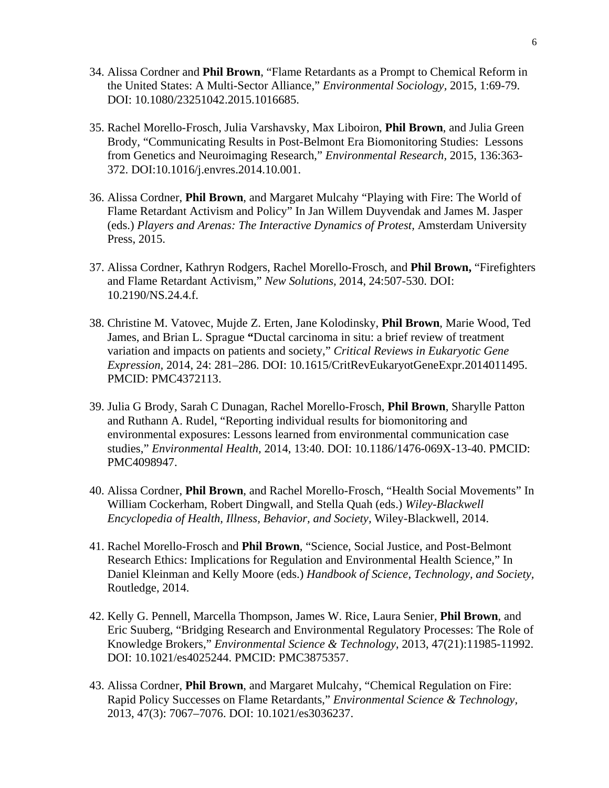- 34. Alissa Cordner and **Phil Brown**, "Flame Retardants as a Prompt to Chemical Reform in the United States: A Multi-Sector Alliance," *Environmental Sociology,* 2015, 1:69-79. DOI: 10.1080/23251042.2015.1016685.
- 35. Rachel Morello-Frosch, Julia Varshavsky, Max Liboiron, **Phil Brown**, and Julia Green Brody, "Communicating Results in Post-Belmont Era Biomonitoring Studies: Lessons from Genetics and Neuroimaging Research," *Environmental Research,* 2015, 136:363- 372. DOI:10.1016/j.envres.2014.10.001.
- 36. Alissa Cordner, **Phil Brown**, and Margaret Mulcahy "Playing with Fire: The World of Flame Retardant Activism and Policy" In Jan Willem Duyvendak and James M. Jasper (eds.) *Players and Arenas: The Interactive Dynamics of Protest,* Amsterdam University Press, 2015.
- 37. Alissa Cordner, Kathryn Rodgers, Rachel Morello-Frosch, and **Phil Brown,** "Firefighters and Flame Retardant Activism," *New Solutions,* 2014, 24:507-530. DOI: 10.2190/NS.24.4.f.
- 38. Christine M. Vatovec, Mujde Z. Erten, Jane Kolodinsky, **Phil Brown**, Marie Wood, Ted James, and Brian L. Sprague **"**Ductal carcinoma in situ: a brief review of treatment variation and impacts on patients and society," *Critical Reviews in Eukaryotic Gene Expression,* 2014, 24: 281–286. DOI: 10.1615/CritRevEukaryotGeneExpr.2014011495. PMCID: PMC4372113.
- 39. Julia G Brody, Sarah C Dunagan, Rachel Morello-Frosch, **Phil Brown**, Sharylle Patton and Ruthann A. Rudel, "Reporting individual results for biomonitoring and environmental exposures: Lessons learned from environmental communication case studies," *Environmental Health,* 2014, 13:40. DOI: 10.1186/1476-069X-13-40. PMCID: PMC4098947.
- 40. Alissa Cordner, **Phil Brown**, and Rachel Morello-Frosch, "Health Social Movements" In William Cockerham, Robert Dingwall, and Stella Quah (eds.) *Wiley-Blackwell Encyclopedia of Health, Illness, Behavior, and Society,* Wiley-Blackwell, 2014.
- 41. Rachel Morello-Frosch and **Phil Brown**, "Science, Social Justice, and Post-Belmont Research Ethics: Implications for Regulation and Environmental Health Science," In Daniel Kleinman and Kelly Moore (eds.) *Handbook of Science, Technology, and Society,* Routledge, 2014.
- 42. Kelly G. Pennell, Marcella Thompson, James W. Rice, Laura Senier, **Phil Brown**, and Eric Suuberg, "Bridging Research and Environmental Regulatory Processes: The Role of Knowledge Brokers," *Environmental Science & Technology*, 2013, 47(21):11985-11992. DOI: 10.1021/es4025244. PMCID: PMC3875357.
- 43. Alissa Cordner, **Phil Brown**, and Margaret Mulcahy, "Chemical Regulation on Fire: Rapid Policy Successes on Flame Retardants," *Environmental Science & Technology,* 2013, 47(3): 7067–7076. DOI: 10.1021/es3036237.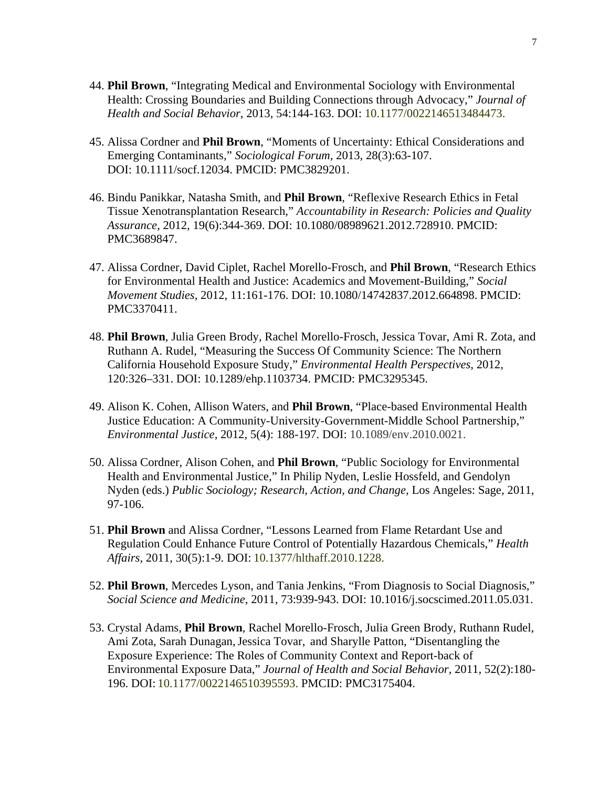- 44. **Phil Brown**, "Integrating Medical and Environmental Sociology with Environmental Health: Crossing Boundaries and Building Connections through Advocacy," *Journal of Health and Social Behavior*, 2013, 54:144-163. DOI: 10.1177/0022146513484473.
- 45. Alissa Cordner and **Phil Brown**, "Moments of Uncertainty: Ethical Considerations and Emerging Contaminants," *Sociological Forum,* 2013, 28(3):63-107. DOI: 10.1111/socf.12034. PMCID: PMC3829201.
- 46. Bindu Panikkar, Natasha Smith, and **Phil Brown**, "Reflexive Research Ethics in Fetal Tissue Xenotransplantation Research," *Accountability in Research: Policies and Quality Assurance*, 2012, 19(6):344-369. DOI: 10.1080/08989621.2012.728910. PMCID: PMC3689847.
- 47. Alissa Cordner, David Ciplet, Rachel Morello-Frosch, and **Phil Brown**, "Research Ethics for Environmental Health and Justice: Academics and Movement-Building," *Social Movement Studies*, 2012, 11:161-176. DOI: 10.1080/14742837.2012.664898. PMCID: PMC3370411.
- 48. **Phil Brown**, Julia Green Brody, Rachel Morello-Frosch, Jessica Tovar, Ami R. Zota, and Ruthann A. Rudel, "Measuring the Success Of Community Science: The Northern California Household Exposure Study," *Environmental Health Perspectives*, 2012, 120:326–331. DOI: 10.1289/ehp.1103734. PMCID: PMC3295345.
- 49. Alison K. Cohen, Allison Waters, and **Phil Brown**, "Place-based Environmental Health Justice Education: A Community-University-Government-Middle School Partnership," *Environmental Justice,* 2012, 5(4): 188-197. DOI: 10.1089/env.2010.0021.
- 50. Alissa Cordner, Alison Cohen, and **Phil Brown**, "Public Sociology for Environmental Health and Environmental Justice," In Philip Nyden, Leslie Hossfeld, and Gendolyn Nyden (eds.) *Public Sociology; Research, Action, and Change,* Los Angeles: Sage, 2011, 97-106.
- 51. **Phil Brown** and Alissa Cordner, "Lessons Learned from Flame Retardant Use and Regulation Could Enhance Future Control of Potentially Hazardous Chemicals," *Health Affairs,* 2011, 30(5):1-9. DOI: 10.1377/hlthaff.2010.1228.
- 52. **Phil Brown**, Mercedes Lyson, and Tania Jenkins, "From Diagnosis to Social Diagnosis," *Social Science and Medicine*, 2011, 73:939-943. DOI: 10.1016/j.socscimed.2011.05.031.
- 53. Crystal Adams, **Phil Brown**, Rachel Morello-Frosch, Julia Green Brody, Ruthann Rudel, Ami Zota, Sarah Dunagan, Jessica Tovar, and Sharylle Patton, "Disentangling the Exposure Experience: The Roles of Community Context and Report-back of Environmental Exposure Data," *Journal of Health and Social Behavior,* 2011, 52(2):180- 196. DOI: 10.1177/0022146510395593. PMCID: PMC3175404.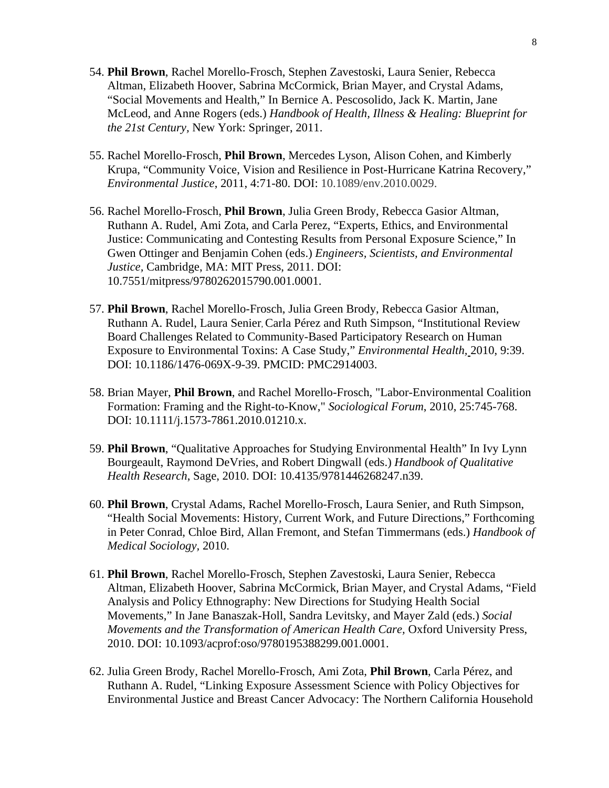- 54. **Phil Brown**, Rachel Morello-Frosch, Stephen Zavestoski, Laura Senier, Rebecca Altman, Elizabeth Hoover, Sabrina McCormick, Brian Mayer, and Crystal Adams, "Social Movements and Health," In Bernice A. Pescosolido, Jack K. Martin, Jane McLeod, and Anne Rogers (eds.) *Handbook of Health, Illness & Healing: Blueprint for the 21st Century,* New York: Springer, 2011.
- 55. Rachel Morello-Frosch, **Phil Brown**, Mercedes Lyson, Alison Cohen, and Kimberly Krupa, "Community Voice, Vision and Resilience in Post-Hurricane Katrina Recovery," *Environmental Justice*, 2011, 4:71-80. DOI: 10.1089/env.2010.0029.
- 56. Rachel Morello-Frosch, **Phil Brown**, Julia Green Brody, Rebecca Gasior Altman, Ruthann A. Rudel, Ami Zota, and Carla Perez, "Experts, Ethics, and Environmental Justice: Communicating and Contesting Results from Personal Exposure Science," In Gwen Ottinger and Benjamin Cohen (eds.) *Engineers, Scientists, and Environmental Justice,* Cambridge, MA: MIT Press, 2011. DOI: 10.7551/mitpress/9780262015790.001.0001.
- 57. **Phil Brown**, Rachel Morello-Frosch, Julia Green Brody, Rebecca Gasior Altman, Ruthann A. Rudel, Laura Senier, Carla Pérez and Ruth Simpson, "Institutional Review Board Challenges Related to Community-Based Participatory Research on Human Exposure to Environmental Toxins: A Case Study," *Environmental Health,* 2010, 9:39. DOI: 10.1186/1476-069X-9-39. PMCID: PMC2914003.
- 58. Brian Mayer, **Phil Brown**, and Rachel Morello-Frosch, "Labor-Environmental Coalition Formation: Framing and the Right-to-Know," *Sociological Forum*, 2010, 25:745-768. DOI: 10.1111/j.1573-7861.2010.01210.x.
- 59. **Phil Brown**, "Qualitative Approaches for Studying Environmental Health" In Ivy Lynn Bourgeault, Raymond DeVries, and Robert Dingwall (eds.) *Handbook of Qualitative Health Research*, Sage, 2010. DOI: 10.4135/9781446268247.n39.
- 60. **Phil Brown**, Crystal Adams, Rachel Morello-Frosch, Laura Senier, and Ruth Simpson, "Health Social Movements: History, Current Work, and Future Directions," Forthcoming in Peter Conrad, Chloe Bird, Allan Fremont, and Stefan Timmermans (eds.) *Handbook of Medical Sociology,* 2010.
- 61. **Phil Brown**, Rachel Morello-Frosch, Stephen Zavestoski, Laura Senier, Rebecca Altman, Elizabeth Hoover, Sabrina McCormick, Brian Mayer, and Crystal Adams, "Field Analysis and Policy Ethnography: New Directions for Studying Health Social Movements," In Jane Banaszak-Holl, Sandra Levitsky, and Mayer Zald (eds.) *Social Movements and the Transformation of American Health Care,* Oxford University Press, 2010. DOI: 10.1093/acprof:oso/9780195388299.001.0001.
- 62. Julia Green Brody, Rachel Morello-Frosch, Ami Zota, **Phil Brown**, Carla Pérez, and Ruthann A. Rudel, "Linking Exposure Assessment Science with Policy Objectives for Environmental Justice and Breast Cancer Advocacy: The Northern California Household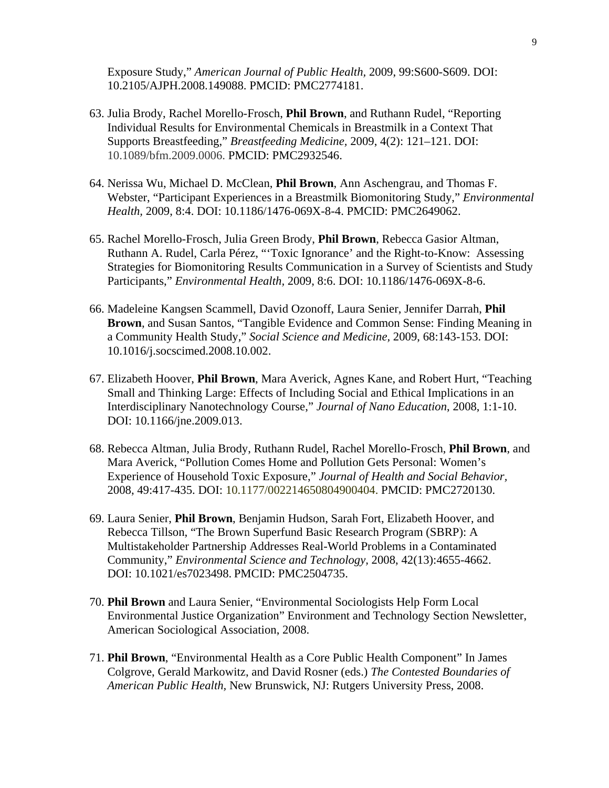Exposure Study," *American Journal of Public Health,* 2009, 99:S600-S609. DOI: 10.2105/AJPH.2008.149088. PMCID: PMC2774181.

- 63. Julia Brody, Rachel Morello-Frosch, **Phil Brown**, and Ruthann Rudel, "Reporting Individual Results for Environmental Chemicals in Breastmilk in a Context That Supports Breastfeeding," *Breastfeeding Medicine,* 2009, 4(2): 121–121. DOI: 10.1089/bfm.2009.0006. PMCID: PMC2932546.
- 64. Nerissa Wu, Michael D. McClean, **Phil Brown**, Ann Aschengrau, and Thomas F. Webster, "Participant Experiences in a Breastmilk Biomonitoring Study," *Environmental Health,* 2009, 8:4. DOI: 10.1186/1476-069X-8-4. PMCID: PMC2649062.
- 65. Rachel Morello-Frosch, Julia Green Brody, **Phil Brown**, Rebecca Gasior Altman, Ruthann A. Rudel, Carla Pérez, "'Toxic Ignorance' and the Right-to-Know: Assessing Strategies for Biomonitoring Results Communication in a Survey of Scientists and Study Participants," *Environmental Health,* 2009, 8:6. DOI: 10.1186/1476-069X-8-6.
- 66. Madeleine Kangsen Scammell, David Ozonoff, Laura Senier, Jennifer Darrah, **Phil Brown**, and Susan Santos, "Tangible Evidence and Common Sense: Finding Meaning in a Community Health Study," *Social Science and Medicine,* 2009, 68:143-153. DOI: 10.1016/j.socscimed.2008.10.002.
- 67. Elizabeth Hoover, **Phil Brown**, Mara Averick, Agnes Kane, and Robert Hurt, "Teaching Small and Thinking Large: Effects of Including Social and Ethical Implications in an Interdisciplinary Nanotechnology Course," *Journal of Nano Education*, 2008, 1:1-10. DOI: 10.1166/jne.2009.013.
- 68. Rebecca Altman, Julia Brody, Ruthann Rudel, Rachel Morello-Frosch, **Phil Brown**, and Mara Averick, "Pollution Comes Home and Pollution Gets Personal: Women's Experience of Household Toxic Exposure," *Journal of Health and Social Behavior,* 2008, 49:417-435. DOI: 10.1177/002214650804900404. PMCID: PMC2720130.
- 69. Laura Senier, **Phil Brown**, Benjamin Hudson, Sarah Fort, Elizabeth Hoover, and Rebecca Tillson, "The Brown Superfund Basic Research Program (SBRP): A Multistakeholder Partnership Addresses Real-World Problems in a Contaminated Community," *Environmental Science and Technology,* 2008, 42(13):4655-4662. DOI: 10.1021/es7023498. PMCID: PMC2504735.
- 70. **Phil Brown** and Laura Senier, "Environmental Sociologists Help Form Local Environmental Justice Organization" Environment and Technology Section Newsletter, American Sociological Association, 2008.
- 71. **Phil Brown**, "Environmental Health as a Core Public Health Component" In James Colgrove, Gerald Markowitz, and David Rosner (eds.) *The Contested Boundaries of American Public Health,* New Brunswick, NJ: Rutgers University Press, 2008.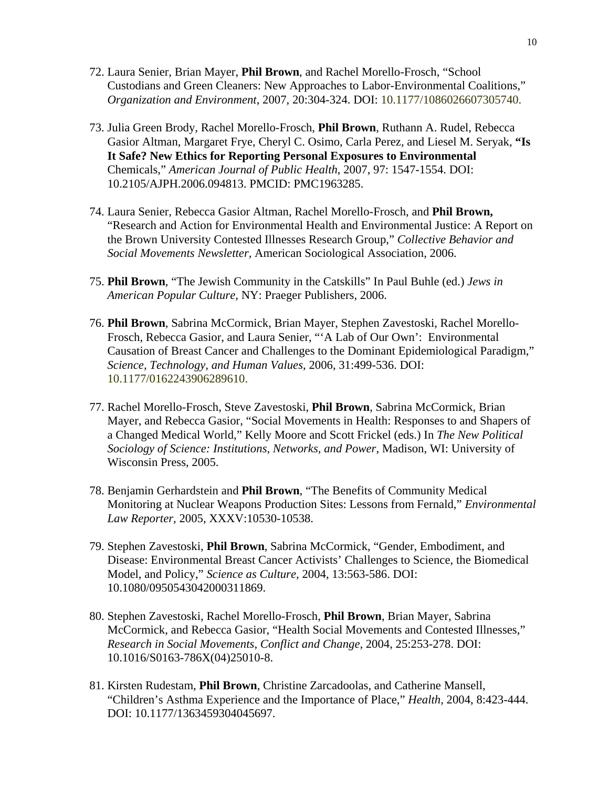- 72. Laura Senier, Brian Mayer, **Phil Brown**, and Rachel Morello-Frosch, "School Custodians and Green Cleaners: New Approaches to Labor-Environmental Coalitions," *Organization and Environment*, 2007, 20:304-324. DOI: 10.1177/1086026607305740.
- 73. Julia Green Brody, Rachel Morello-Frosch, **Phil Brown**, Ruthann A. Rudel, Rebecca Gasior Altman, Margaret Frye, Cheryl C. Osimo, Carla Perez, and Liesel M. Seryak, **"Is It Safe? New Ethics for Reporting Personal Exposures to Environmental** Chemicals," *American Journal of Public Health*, 2007, 97: 1547-1554. DOI: 10.2105/AJPH.2006.094813. PMCID: PMC1963285.
- 74. Laura Senier, Rebecca Gasior Altman, Rachel Morello-Frosch, and **Phil Brown,** "Research and Action for Environmental Health and Environmental Justice: A Report on the Brown University Contested Illnesses Research Group," *Collective Behavior and Social Movements Newsletter,* American Sociological Association, 2006.
- 75. **Phil Brown**, "The Jewish Community in the Catskills" In Paul Buhle (ed.) *Jews in American Popular Culture,* NY: Praeger Publishers, 2006.
- 76. **Phil Brown**, Sabrina McCormick, Brian Mayer, Stephen Zavestoski, Rachel Morello-Frosch, Rebecca Gasior, and Laura Senier, "'A Lab of Our Own': Environmental Causation of Breast Cancer and Challenges to the Dominant Epidemiological Paradigm," *Science, Technology, and Human Values*, 2006, 31:499-536. DOI: 10.1177/0162243906289610.
- 77. Rachel Morello-Frosch, Steve Zavestoski, **Phil Brown**, Sabrina McCormick, Brian Mayer, and Rebecca Gasior, "Social Movements in Health: Responses to and Shapers of a Changed Medical World," Kelly Moore and Scott Frickel (eds.) In *The New Political Sociology of Science: Institutions, Networks, and Power*, Madison, WI: University of Wisconsin Press, 2005.
- 78. Benjamin Gerhardstein and **Phil Brown**, "The Benefits of Community Medical Monitoring at Nuclear Weapons Production Sites: Lessons from Fernald," *Environmental Law Reporter,* 2005, XXXV:10530-10538.
- 79. Stephen Zavestoski, **Phil Brown**, Sabrina McCormick, "Gender, Embodiment, and Disease: Environmental Breast Cancer Activists' Challenges to Science, the Biomedical Model, and Policy," *Science as Culture,* 2004, 13:563-586. DOI: 10.1080/0950543042000311869.
- 80. Stephen Zavestoski, Rachel Morello-Frosch, **Phil Brown**, Brian Mayer, Sabrina McCormick, and Rebecca Gasior, "Health Social Movements and Contested Illnesses," *Research in Social Movements, Conflict and Change,* 2004, 25:253-278. DOI: 10.1016/S0163-786X(04)25010-8.
- 81. Kirsten Rudestam, **Phil Brown**, Christine Zarcadoolas, and Catherine Mansell, "Children's Asthma Experience and the Importance of Place," *Health,* 2004, 8:423-444. DOI: 10.1177/1363459304045697.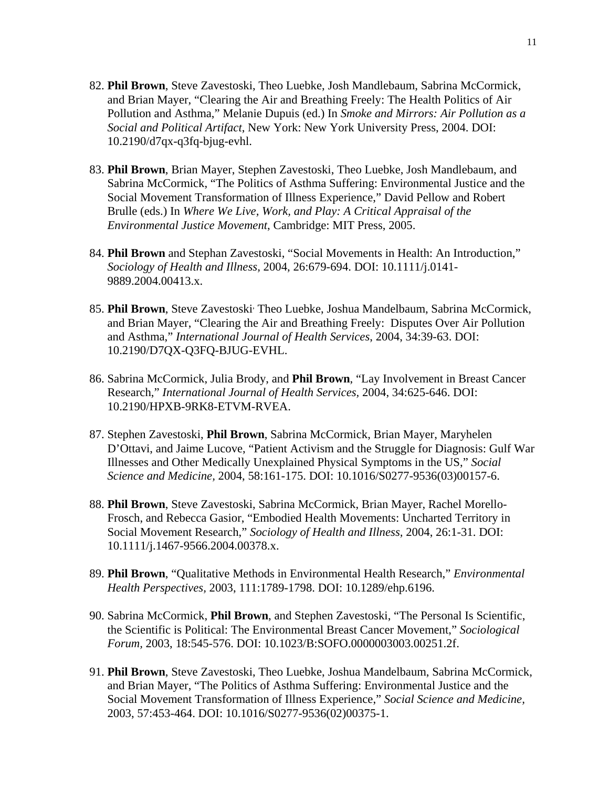- 82. **Phil Brown**, Steve Zavestoski, Theo Luebke, Josh Mandlebaum, Sabrina McCormick, and Brian Mayer, "Clearing the Air and Breathing Freely: The Health Politics of Air Pollution and Asthma," Melanie Dupuis (ed.) In *Smoke and Mirrors: Air Pollution as a Social and Political Artifact*, New York: New York University Press, 2004. DOI: 10.2190/d7qx-q3fq-bjug-evhl.
- 83. **Phil Brown**, Brian Mayer, Stephen Zavestoski, Theo Luebke, Josh Mandlebaum, and Sabrina McCormick, "The Politics of Asthma Suffering: Environmental Justice and the Social Movement Transformation of Illness Experience," David Pellow and Robert Brulle (eds.) In *Where We Live, Work, and Play: A Critical Appraisal of the Environmental Justice Movement*, Cambridge: MIT Press, 2005.
- 84. **Phil Brown** and Stephan Zavestoski, "Social Movements in Health: An Introduction," *Sociology of Health and Illness,* 2004, 26:679-694. DOI: 10.1111/j.0141- 9889.2004.00413.x.
- 85. Phil Brown, Steve Zavestoski<sup>,</sup> Theo Luebke, Joshua Mandelbaum, Sabrina McCormick, and Brian Mayer, "Clearing the Air and Breathing Freely: Disputes Over Air Pollution and Asthma," *International Journal of Health Services*, 2004, 34:39-63. DOI: 10.2190/D7QX-Q3FQ-BJUG-EVHL.
- 86. Sabrina McCormick, Julia Brody, and **Phil Brown**, "Lay Involvement in Breast Cancer Research," *International Journal of Health Services,* 2004, 34:625-646. DOI: 10.2190/HPXB-9RK8-ETVM-RVEA.
- 87. Stephen Zavestoski, **Phil Brown**, Sabrina McCormick, Brian Mayer, Maryhelen D'Ottavi, and Jaime Lucove, "Patient Activism and the Struggle for Diagnosis: Gulf War Illnesses and Other Medically Unexplained Physical Symptoms in the US," *Social Science and Medicine,* 2004, 58:161-175. DOI: 10.1016/S0277-9536(03)00157-6.
- 88. **Phil Brown**, Steve Zavestoski, Sabrina McCormick, Brian Mayer, Rachel Morello-Frosch, and Rebecca Gasior, "Embodied Health Movements: Uncharted Territory in Social Movement Research," *Sociology of Health and Illness,* 2004, 26:1-31. DOI: 10.1111/j.1467-9566.2004.00378.x.
- 89. **Phil Brown**, "Qualitative Methods in Environmental Health Research," *Environmental Health Perspectives,* 2003, 111:1789-1798. DOI: 10.1289/ehp.6196.
- 90. Sabrina McCormick, **Phil Brown**, and Stephen Zavestoski, "The Personal Is Scientific, the Scientific is Political: The Environmental Breast Cancer Movement," *Sociological Forum,* 2003, 18:545-576. DOI: 10.1023/B:SOFO.0000003003.00251.2f.
- 91. **Phil Brown**, Steve Zavestoski, Theo Luebke, Joshua Mandelbaum, Sabrina McCormick, and Brian Mayer, "The Politics of Asthma Suffering: Environmental Justice and the Social Movement Transformation of Illness Experience," *Social Science and Medicine,*  2003, 57:453-464. DOI: 10.1016/S0277-9536(02)00375-1.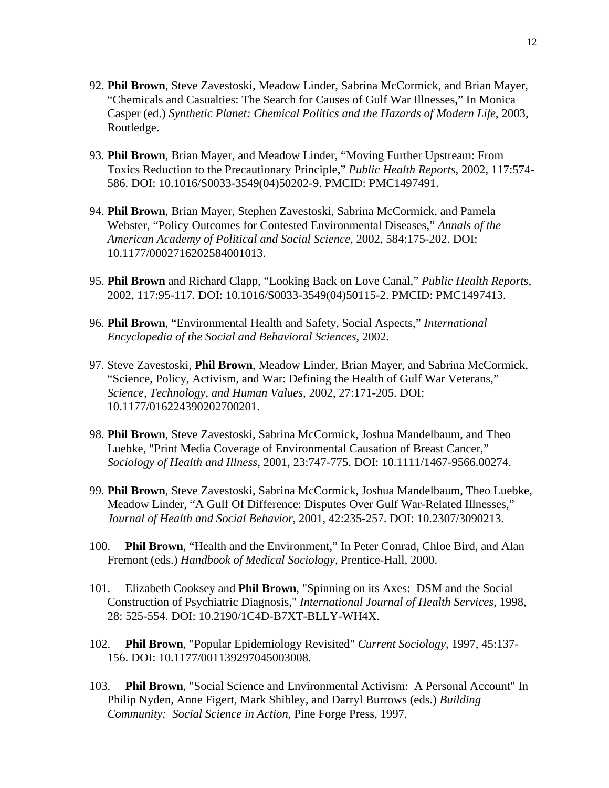- 92. **Phil Brown**, Steve Zavestoski, Meadow Linder, Sabrina McCormick, and Brian Mayer, "Chemicals and Casualties: The Search for Causes of Gulf War Illnesses," In Monica Casper (ed.) *Synthetic Planet: Chemical Politics and the Hazards of Modern Life*, 2003, Routledge.
- 93. **Phil Brown**, Brian Mayer, and Meadow Linder, "Moving Further Upstream: From Toxics Reduction to the Precautionary Principle," *Public Health Reports*, 2002, 117:574- 586. DOI: 10.1016/S0033-3549(04)50202-9. PMCID: PMC1497491.
- 94. **Phil Brown**, Brian Mayer, Stephen Zavestoski, Sabrina McCormick, and Pamela Webster, "Policy Outcomes for Contested Environmental Diseases," *Annals of the American Academy of Political and Social Science,* 2002, 584:175-202. DOI: 10.1177/0002716202584001013.
- 95. **Phil Brown** and Richard Clapp, "Looking Back on Love Canal," *Public Health Reports,*  2002, 117:95-117. DOI: 10.1016/S0033-3549(04)50115-2. PMCID: PMC1497413.
- 96. **Phil Brown**, "Environmental Health and Safety, Social Aspects," *International Encyclopedia of the Social and Behavioral Sciences*, 2002.
- 97. Steve Zavestoski, **Phil Brown**, Meadow Linder, Brian Mayer, and Sabrina McCormick, "Science, Policy, Activism, and War: Defining the Health of Gulf War Veterans," *Science, Technology, and Human Values,* 2002, 27:171-205. DOI: 10.1177/016224390202700201.
- 98. **Phil Brown**, Steve Zavestoski, Sabrina McCormick, Joshua Mandelbaum, and Theo Luebke, "Print Media Coverage of Environmental Causation of Breast Cancer," *Sociology of Health and Illness*, 2001, 23:747-775. DOI: 10.1111/1467-9566.00274.
- 99. **Phil Brown**, Steve Zavestoski, Sabrina McCormick, Joshua Mandelbaum, Theo Luebke, Meadow Linder, "A Gulf Of Difference: Disputes Over Gulf War-Related Illnesses," *Journal of Health and Social Behavior,* 2001, 42:235-257. DOI: 10.2307/3090213.
- 100. **Phil Brown**, "Health and the Environment," In Peter Conrad, Chloe Bird, and Alan Fremont (eds.) *Handbook of Medical Sociology,* Prentice-Hall, 2000.
- 101. Elizabeth Cooksey and **Phil Brown**, "Spinning on its Axes: DSM and the Social Construction of Psychiatric Diagnosis," *International Journal of Health Services*, 1998, 28: 525-554. DOI: 10.2190/1C4D-B7XT-BLLY-WH4X.
- 102. **Phil Brown**, "Popular Epidemiology Revisited" *Current Sociology,* 1997, 45:137- 156. DOI: 10.1177/001139297045003008.
- 103. **Phil Brown**, "Social Science and Environmental Activism: A Personal Account" In Philip Nyden, Anne Figert, Mark Shibley, and Darryl Burrows (eds.) *Building Community: Social Science in Action*, Pine Forge Press, 1997.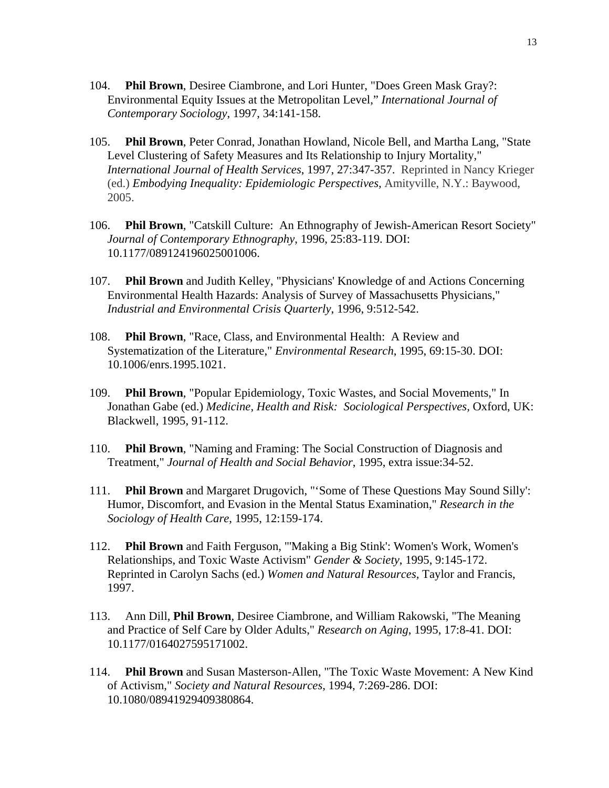- 104. **Phil Brown**, Desiree Ciambrone, and Lori Hunter, "Does Green Mask Gray?: Environmental Equity Issues at the Metropolitan Level," *International Journal of Contemporary Sociology*, 1997, 34:141-158.
- 105. **Phil Brown**, Peter Conrad, Jonathan Howland, Nicole Bell, and Martha Lang, "State Level Clustering of Safety Measures and Its Relationship to Injury Mortality," *International Journal of Health Services*, 1997, 27:347-357. Reprinted in Nancy Krieger (ed.) *Embodying Inequality: Epidemiologic Perspectives,* Amityville, N.Y.: Baywood, 2005.
- 106. **Phil Brown**, "Catskill Culture: An Ethnography of Jewish-American Resort Society" *Journal of Contemporary Ethnography*, 1996, 25:83-119. DOI: 10.1177/089124196025001006.
- 107. **Phil Brown** and Judith Kelley, "Physicians' Knowledge of and Actions Concerning Environmental Health Hazards: Analysis of Survey of Massachusetts Physicians," *Industrial and Environmental Crisis Quarterly*, 1996, 9:512-542.
- 108. **Phil Brown**, "Race, Class, and Environmental Health: A Review and Systematization of the Literature," *Environmental Research*, 1995, 69:15-30. DOI: 10.1006/enrs.1995.1021.
- 109. **Phil Brown**, "Popular Epidemiology, Toxic Wastes, and Social Movements," In Jonathan Gabe (ed.) *Medicine, Health and Risk: Sociological Perspectives,* Oxford, UK: Blackwell, 1995, 91-112.
- 110. **Phil Brown**, "Naming and Framing: The Social Construction of Diagnosis and Treatment," *Journal of Health and Social Behavior*, 1995, extra issue:34-52.
- 111. **Phil Brown** and Margaret Drugovich, "'Some of These Questions May Sound Silly': Humor, Discomfort, and Evasion in the Mental Status Examination," *Research in the Sociology of Health Care*, 1995, 12:159-174.
- 112. **Phil Brown** and Faith Ferguson, "'Making a Big Stink': Women's Work, Women's Relationships, and Toxic Waste Activism" *Gender & Society*, 1995, 9:145-172. Reprinted in Carolyn Sachs (ed.) *Women and Natural Resources,* Taylor and Francis, 1997.
- 113. Ann Dill, **Phil Brown**, Desiree Ciambrone, and William Rakowski, "The Meaning and Practice of Self Care by Older Adults," *Research on Aging*, 1995, 17:8-41. DOI: 10.1177/0164027595171002.
- 114. **Phil Brown** and Susan Masterson-Allen, "The Toxic Waste Movement: A New Kind of Activism," *Society and Natural Resources*, 1994, 7:269-286. DOI: 10.1080/08941929409380864.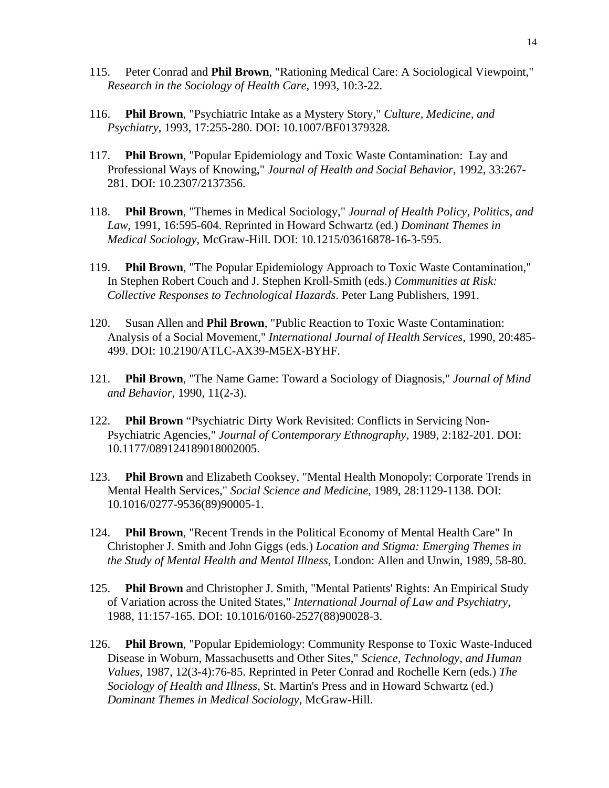- 115. Peter Conrad and **Phil Brown**, "Rationing Medical Care: A Sociological Viewpoint," *Research in the Sociology of Health Care*, 1993, 10:3-22.
- 116. **Phil Brown**, "Psychiatric Intake as a Mystery Story," *Culture, Medicine, and Psychiatry*, 1993, 17:255-280. DOI: 10.1007/BF01379328.
- 117. **Phil Brown**, "Popular Epidemiology and Toxic Waste Contamination: Lay and Professional Ways of Knowing," *Journal of Health and Social Behavior*, 1992, 33:267- 281. DOI: 10.2307/2137356.
- 118. **Phil Brown**, "Themes in Medical Sociology," *Journal of Health Policy, Politics, and Law*, 1991, 16:595-604. Reprinted in Howard Schwartz (ed.) *Dominant Themes in Medical Sociology*, McGraw-Hill. DOI: 10.1215/03616878-16-3-595.
- 119. **Phil Brown**, "The Popular Epidemiology Approach to Toxic Waste Contamination," In Stephen Robert Couch and J. Stephen Kroll-Smith (eds.) *Communities at Risk: Collective Responses to Technological Hazards*. Peter Lang Publishers, 1991.
- 120. Susan Allen and **Phil Brown**, "Public Reaction to Toxic Waste Contamination: Analysis of a Social Movement," *International Journal of Health Services*, 1990, 20:485- 499. DOI: 10.2190/ATLC-AX39-M5EX-BYHF.
- 121. **Phil Brown**, "The Name Game: Toward a Sociology of Diagnosis," *Journal of Mind and Behavior*, 1990, 11(2-3).
- 122. **Phil Brown** "Psychiatric Dirty Work Revisited: Conflicts in Servicing Non-Psychiatric Agencies," *Journal of Contemporary Ethnography*, 1989, 2:182-201. DOI: 10.1177/089124189018002005.
- 123. **Phil Brown** and Elizabeth Cooksey, "Mental Health Monopoly: Corporate Trends in Mental Health Services," *Social Science and Medicine*, 1989, 28:1129-1138. DOI: 10.1016/0277-9536(89)90005-1.
- 124. **Phil Brown**, "Recent Trends in the Political Economy of Mental Health Care" In Christopher J. Smith and John Giggs (eds.) *Location and Stigma: Emerging Themes in the Study of Mental Health and Mental Illness,* London: Allen and Unwin, 1989, 58-80.
- 125. **Phil Brown** and Christopher J. Smith, "Mental Patients' Rights: An Empirical Study of Variation across the United States," *International Journal of Law and Psychiatry*, 1988, 11:157-165. DOI: 10.1016/0160-2527(88)90028-3.
- 126. **Phil Brown**, "Popular Epidemiology: Community Response to Toxic Waste-Induced Disease in Woburn, Massachusetts and Other Sites," *Science, Technology, and Human Values*, 1987, 12(3-4):76-85. Reprinted in Peter Conrad and Rochelle Kern (eds.) *The Sociology of Health and Illness*, St. Martin's Press and in Howard Schwartz (ed.) *Dominant Themes in Medical Sociology,* McGraw-Hill.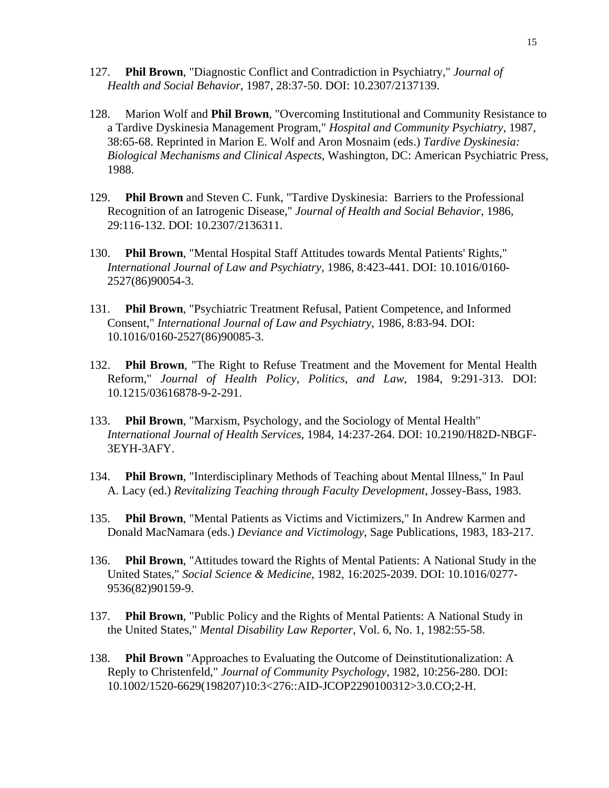- 127. **Phil Brown**, "Diagnostic Conflict and Contradiction in Psychiatry," *Journal of Health and Social Behavior*, 1987, 28:37-50. DOI: 10.2307/2137139.
- 128. Marion Wolf and **Phil Brown**, "Overcoming Institutional and Community Resistance to a Tardive Dyskinesia Management Program," *Hospital and Community Psychiatry*, 1987, 38:65-68. Reprinted in Marion E. Wolf and Aron Mosnaim (eds.) *Tardive Dyskinesia: Biological Mechanisms and Clinical Aspects*, Washington, DC: American Psychiatric Press, 1988.
- 129. **Phil Brown** and Steven C. Funk, "Tardive Dyskinesia: Barriers to the Professional Recognition of an Iatrogenic Disease," *Journal of Health and Social Behavior*, 1986, 29:116-132. DOI: 10.2307/2136311.
- 130. **Phil Brown**, "Mental Hospital Staff Attitudes towards Mental Patients' Rights," *International Journal of Law and Psychiatry*, 1986, 8:423-441. DOI: 10.1016/0160- 2527(86)90054-3.
- 131. **Phil Brown**, "Psychiatric Treatment Refusal, Patient Competence, and Informed Consent," *International Journal of Law and Psychiatry*, 1986, 8:83-94. DOI: 10.1016/0160-2527(86)90085-3.
- 132. **Phil Brown**, "The Right to Refuse Treatment and the Movement for Mental Health Reform," *Journal of Health Policy, Politics, and Law*, 1984, 9:291-313. DOI: 10.1215/03616878-9-2-291.
- 133. **Phil Brown**, "Marxism, Psychology, and the Sociology of Mental Health" *International Journal of Health Services*, 1984, 14:237-264. DOI: 10.2190/H82D-NBGF-3EYH-3AFY.
- 134. **Phil Brown**, "Interdisciplinary Methods of Teaching about Mental Illness," In Paul A. Lacy (ed.) *Revitalizing Teaching through Faculty Development*, Jossey-Bass, 1983.
- 135. **Phil Brown**, "Mental Patients as Victims and Victimizers," In Andrew Karmen and Donald MacNamara (eds.) *Deviance and Victimology*, Sage Publications, 1983, 183-217.
- 136. **Phil Brown**, "Attitudes toward the Rights of Mental Patients: A National Study in the United States," *Social Science & Medicine*, 1982, 16:2025-2039. DOI: 10.1016/0277- 9536(82)90159-9.
- 137. **Phil Brown**, "Public Policy and the Rights of Mental Patients: A National Study in the United States," *Mental Disability Law Reporter*, Vol. 6, No. 1, 1982:55-58.
- 138. **Phil Brown** "Approaches to Evaluating the Outcome of Deinstitutionalization: A Reply to Christenfeld," *Journal of Community Psychology*, 1982, 10:256-280. DOI: 10.1002/1520-6629(198207)10:3<276::AID-JCOP2290100312>3.0.CO;2-H.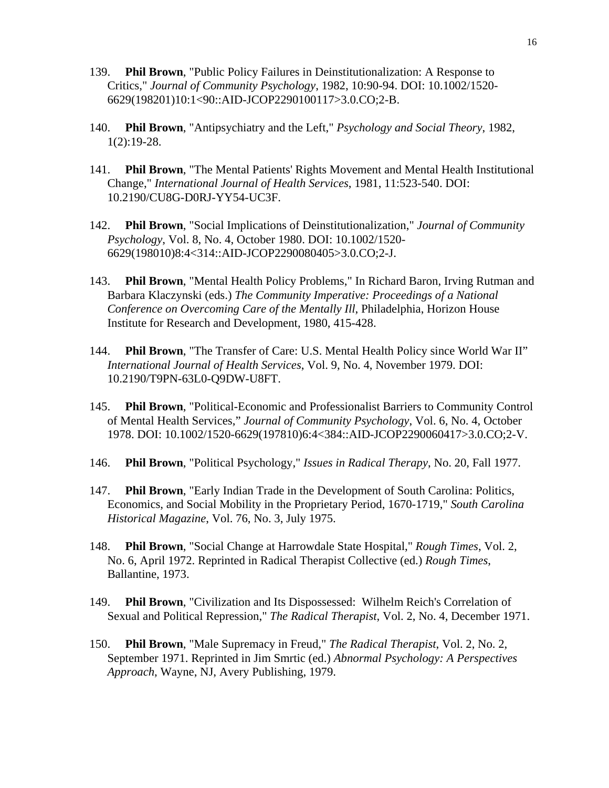- 139. **Phil Brown**, "Public Policy Failures in Deinstitutionalization: A Response to Critics," *Journal of Community Psychology*, 1982, 10:90-94. DOI: 10.1002/1520- 6629(198201)10:1<90::AID-JCOP2290100117>3.0.CO;2-B.
- 140. **Phil Brown**, "Antipsychiatry and the Left," *Psychology and Social Theory*, 1982, 1(2):19-28.
- 141. **Phil Brown**, "The Mental Patients' Rights Movement and Mental Health Institutional Change," *International Journal of Health Services*, 1981, 11:523-540. DOI: 10.2190/CU8G-D0RJ-YY54-UC3F.
- 142. **Phil Brown**, "Social Implications of Deinstitutionalization," *Journal of Community Psychology*, Vol. 8, No. 4, October 1980. DOI: 10.1002/1520- 6629(198010)8:4<314::AID-JCOP2290080405>3.0.CO;2-J.
- 143. **Phil Brown**, "Mental Health Policy Problems," In Richard Baron, Irving Rutman and Barbara Klaczynski (eds.) *The Community Imperative: Proceedings of a National Conference on Overcoming Care of the Mentally Ill*, Philadelphia, Horizon House Institute for Research and Development, 1980, 415-428.
- 144. **Phil Brown**, "The Transfer of Care: U.S. Mental Health Policy since World War II" *International Journal of Health Services*, Vol. 9, No. 4, November 1979. DOI: 10.2190/T9PN-63L0-Q9DW-U8FT.
- 145. **Phil Brown**, "Political-Economic and Professionalist Barriers to Community Control of Mental Health Services," *Journal of Community Psychology*, Vol. 6, No. 4, October 1978. DOI: 10.1002/1520-6629(197810)6:4<384::AID-JCOP2290060417>3.0.CO;2-V.
- 146. **Phil Brown**, "Political Psychology," *Issues in Radical Therapy*, No. 20, Fall 1977.
- 147. **Phil Brown**, "Early Indian Trade in the Development of South Carolina: Politics, Economics, and Social Mobility in the Proprietary Period, 1670-1719," *South Carolina Historical Magazine*, Vol. 76, No. 3, July 1975.
- 148. **Phil Brown**, "Social Change at Harrowdale State Hospital," *Rough Times*, Vol. 2, No. 6, April 1972. Reprinted in Radical Therapist Collective (ed.) *Rough Times*, Ballantine, 1973.
- 149. **Phil Brown**, "Civilization and Its Dispossessed: Wilhelm Reich's Correlation of Sexual and Political Repression," *The Radical Therapist*, Vol. 2, No. 4, December 1971.
- 150. **Phil Brown**, "Male Supremacy in Freud," *The Radical Therapist*, Vol. 2, No. 2, September 1971. Reprinted in Jim Smrtic (ed.) *Abnormal Psychology: A Perspectives Approach*, Wayne, NJ, Avery Publishing, 1979.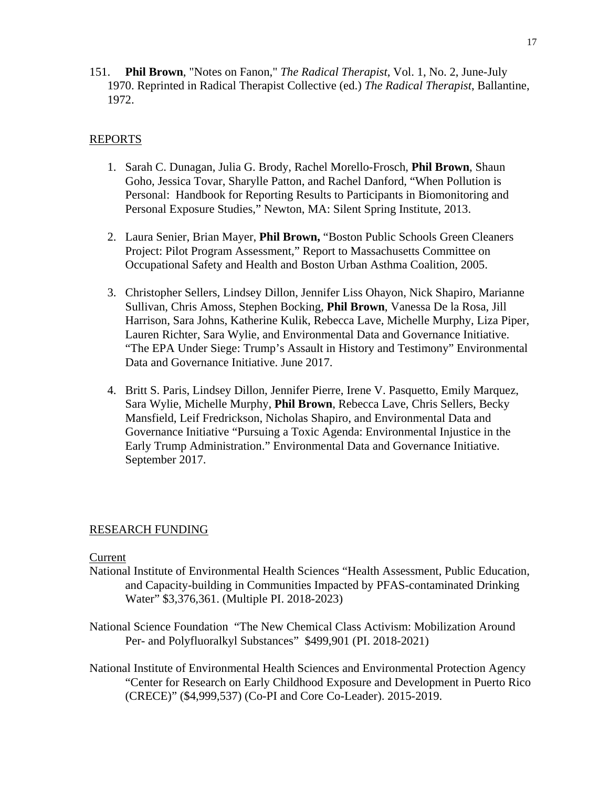151. **Phil Brown**, "Notes on Fanon," *The Radical Therapist*, Vol. 1, No. 2, June-July 1970. Reprinted in Radical Therapist Collective (ed.) *The Radical Therapist*, Ballantine, 1972.

# REPORTS

- 1. Sarah C. Dunagan, Julia G. Brody, Rachel Morello-Frosch, **Phil Brown**, Shaun Goho, Jessica Tovar, Sharylle Patton, and Rachel Danford, "When Pollution is Personal: Handbook for Reporting Results to Participants in Biomonitoring and Personal Exposure Studies," Newton, MA: Silent Spring Institute, 2013.
- 2. Laura Senier, Brian Mayer, **Phil Brown,** "Boston Public Schools Green Cleaners Project: Pilot Program Assessment," Report to Massachusetts Committee on Occupational Safety and Health and Boston Urban Asthma Coalition, 2005.
- 3. Christopher Sellers, Lindsey Dillon, Jennifer Liss Ohayon, Nick Shapiro, Marianne Sullivan, Chris Amoss, Stephen Bocking, **Phil Brown**, Vanessa De la Rosa, Jill Harrison, Sara Johns, Katherine Kulik, Rebecca Lave, Michelle Murphy, Liza Piper, Lauren Richter, Sara Wylie, and Environmental Data and Governance Initiative. "The EPA Under Siege: Trump's Assault in History and Testimony" Environmental Data and Governance Initiative. June 2017.
- 4. Britt S. Paris, Lindsey Dillon, Jennifer Pierre, Irene V. Pasquetto, Emily Marquez, Sara Wylie, Michelle Murphy, **Phil Brown**, Rebecca Lave, Chris Sellers, Becky Mansfield, Leif Fredrickson, Nicholas Shapiro, and Environmental Data and Governance Initiative "Pursuing a Toxic Agenda: Environmental Injustice in the Early Trump Administration." Environmental Data and Governance Initiative. September 2017.

#### RESEARCH FUNDING

# **Current**

- National Institute of Environmental Health Sciences "Health Assessment, Public Education, and Capacity-building in Communities Impacted by PFAS-contaminated Drinking Water" \$3,376,361. (Multiple PI. 2018-2023)
- National Science Foundation "The New Chemical Class Activism: Mobilization Around Per- and Polyfluoralkyl Substances" \$499,901 (PI. 2018-2021)
- National Institute of Environmental Health Sciences and Environmental Protection Agency "Center for Research on Early Childhood Exposure and Development in Puerto Rico (CRECE)" (\$4,999,537) (Co-PI and Core Co-Leader). 2015-2019.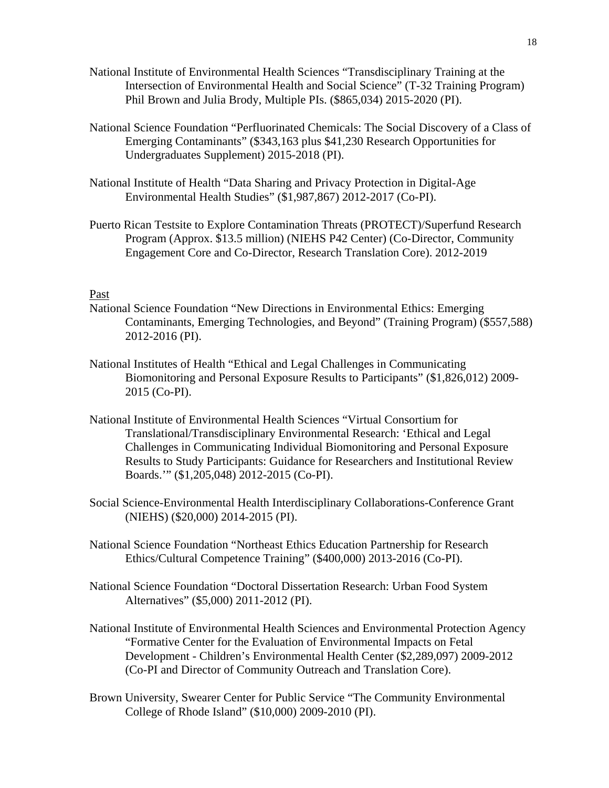- National Institute of Environmental Health Sciences "Transdisciplinary Training at the Intersection of Environmental Health and Social Science" (T-32 Training Program) Phil Brown and Julia Brody, Multiple PIs. (\$865,034) 2015-2020 (PI).
- National Science Foundation "Perfluorinated Chemicals: The Social Discovery of a Class of Emerging Contaminants" (\$343,163 plus \$41,230 Research Opportunities for Undergraduates Supplement) 2015-2018 (PI).
- National Institute of Health "Data Sharing and Privacy Protection in Digital-Age Environmental Health Studies" (\$1,987,867) 2012-2017 (Co-PI).
- Puerto Rican Testsite to Explore Contamination Threats (PROTECT)/Superfund Research Program (Approx. \$13.5 million) (NIEHS P42 Center) (Co-Director, Community Engagement Core and Co-Director, Research Translation Core). 2012-2019

## Past

- National Science Foundation "New Directions in Environmental Ethics: Emerging Contaminants, Emerging Technologies, and Beyond" (Training Program) (\$557,588) 2012-2016 (PI).
- National Institutes of Health "Ethical and Legal Challenges in Communicating Biomonitoring and Personal Exposure Results to Participants" (\$1,826,012) 2009- 2015 (Co-PI).
- National Institute of Environmental Health Sciences "Virtual Consortium for Translational/Transdisciplinary Environmental Research: 'Ethical and Legal Challenges in Communicating Individual Biomonitoring and Personal Exposure Results to Study Participants: Guidance for Researchers and Institutional Review Boards.'" (\$1,205,048) 2012-2015 (Co-PI).
- Social Science-Environmental Health Interdisciplinary Collaborations-Conference Grant (NIEHS) (\$20,000) 2014-2015 (PI).
- National Science Foundation "Northeast Ethics Education Partnership for Research Ethics/Cultural Competence Training" (\$400,000) 2013-2016 (Co-PI).
- National Science Foundation "Doctoral Dissertation Research: Urban Food System Alternatives" (\$5,000) 2011-2012 (PI).
- National Institute of Environmental Health Sciences and Environmental Protection Agency "Formative Center for the Evaluation of Environmental Impacts on Fetal Development - Children's Environmental Health Center (\$2,289,097) 2009-2012 (Co-PI and Director of Community Outreach and Translation Core).
- Brown University, Swearer Center for Public Service "The Community Environmental College of Rhode Island" (\$10,000) 2009-2010 (PI).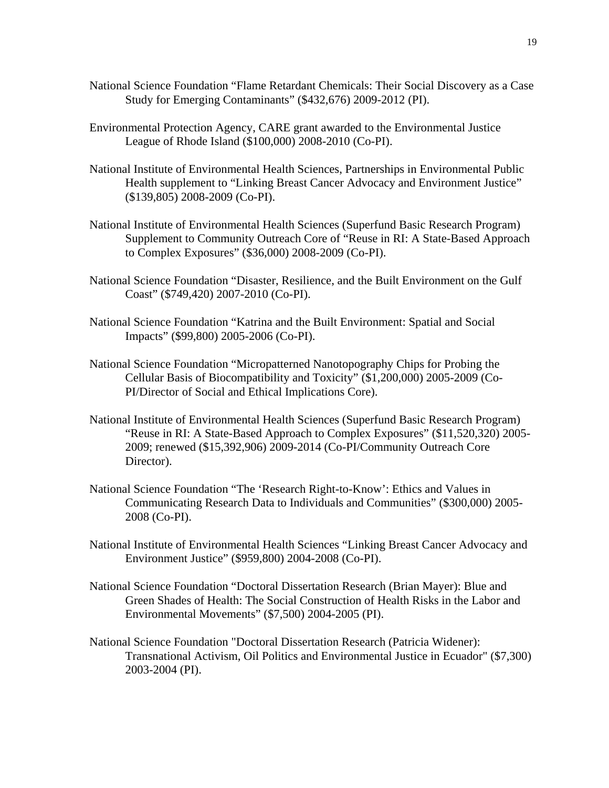- National Science Foundation "Flame Retardant Chemicals: Their Social Discovery as a Case Study for Emerging Contaminants" (\$432,676) 2009-2012 (PI).
- Environmental Protection Agency, CARE grant awarded to the Environmental Justice League of Rhode Island (\$100,000) 2008-2010 (Co-PI).
- National Institute of Environmental Health Sciences, Partnerships in Environmental Public Health supplement to "Linking Breast Cancer Advocacy and Environment Justice" (\$139,805) 2008-2009 (Co-PI).
- National Institute of Environmental Health Sciences (Superfund Basic Research Program) Supplement to Community Outreach Core of "Reuse in RI: A State-Based Approach to Complex Exposures" (\$36,000) 2008-2009 (Co-PI).
- National Science Foundation "Disaster, Resilience, and the Built Environment on the Gulf Coast" (\$749,420) 2007-2010 (Co-PI).
- National Science Foundation "Katrina and the Built Environment: Spatial and Social Impacts" (\$99,800) 2005-2006 (Co-PI).
- National Science Foundation "Micropatterned Nanotopography Chips for Probing the Cellular Basis of Biocompatibility and Toxicity" (\$1,200,000) 2005-2009 (Co-PI/Director of Social and Ethical Implications Core).
- National Institute of Environmental Health Sciences (Superfund Basic Research Program) "Reuse in RI: A State-Based Approach to Complex Exposures" (\$11,520,320) 2005- 2009; renewed (\$15,392,906) 2009-2014 (Co-PI/Community Outreach Core Director).
- National Science Foundation "The 'Research Right-to-Know': Ethics and Values in Communicating Research Data to Individuals and Communities" (\$300,000) 2005- 2008 (Co-PI).
- National Institute of Environmental Health Sciences "Linking Breast Cancer Advocacy and Environment Justice" (\$959,800) 2004-2008 (Co-PI).
- National Science Foundation "Doctoral Dissertation Research (Brian Mayer): Blue and Green Shades of Health: The Social Construction of Health Risks in the Labor and Environmental Movements" (\$7,500) 2004-2005 (PI).
- National Science Foundation "Doctoral Dissertation Research (Patricia Widener): Transnational Activism, Oil Politics and Environmental Justice in Ecuador" (\$7,300) 2003-2004 (PI).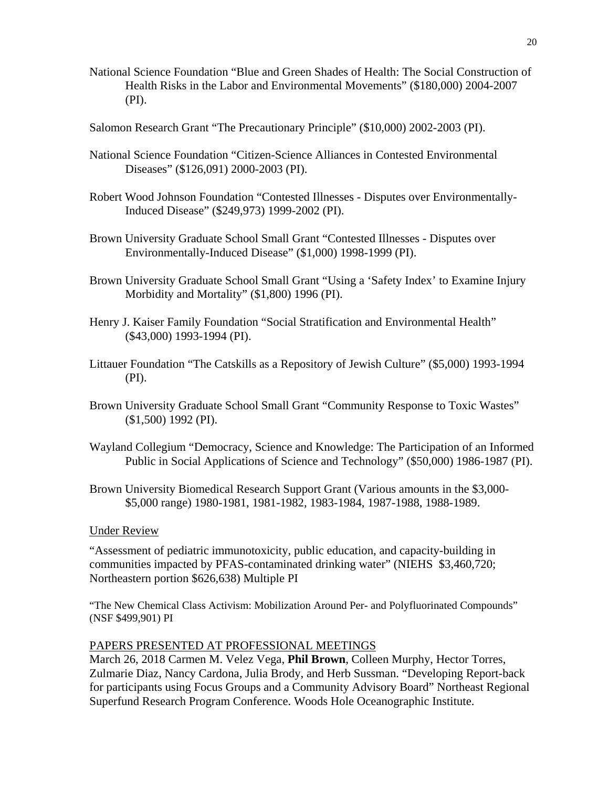- National Science Foundation "Blue and Green Shades of Health: The Social Construction of Health Risks in the Labor and Environmental Movements" (\$180,000) 2004-2007 (PI).
- Salomon Research Grant "The Precautionary Principle" (\$10,000) 2002-2003 (PI).
- National Science Foundation "Citizen-Science Alliances in Contested Environmental Diseases" (\$126,091) 2000-2003 (PI).
- Robert Wood Johnson Foundation "Contested Illnesses Disputes over Environmentally-Induced Disease" (\$249,973) 1999-2002 (PI).
- Brown University Graduate School Small Grant "Contested Illnesses Disputes over Environmentally-Induced Disease" (\$1,000) 1998-1999 (PI).
- Brown University Graduate School Small Grant "Using a 'Safety Index' to Examine Injury Morbidity and Mortality" (\$1,800) 1996 (PI).
- Henry J. Kaiser Family Foundation "Social Stratification and Environmental Health" (\$43,000) 1993-1994 (PI).
- Littauer Foundation "The Catskills as a Repository of Jewish Culture" (\$5,000) 1993-1994 (PI).
- Brown University Graduate School Small Grant "Community Response to Toxic Wastes" (\$1,500) 1992 (PI).
- Wayland Collegium "Democracy, Science and Knowledge: The Participation of an Informed Public in Social Applications of Science and Technology" (\$50,000) 1986-1987 (PI).
- Brown University Biomedical Research Support Grant (Various amounts in the \$3,000- \$5,000 range) 1980-1981, 1981-1982, 1983-1984, 1987-1988, 1988-1989.

#### Under Review

"Assessment of pediatric immunotoxicity, public education, and capacity-building in communities impacted by PFAS-contaminated drinking water" (NIEHS \$3,460,720; Northeastern portion \$626,638) Multiple PI

"The New Chemical Class Activism: Mobilization Around Per- and Polyfluorinated Compounds" (NSF \$499,901) PI

#### PAPERS PRESENTED AT PROFESSIONAL MEETINGS

March 26, 2018 Carmen M. Velez Vega, **Phil Brown**, Colleen Murphy, Hector Torres, Zulmarie Diaz, Nancy Cardona, Julia Brody, and Herb Sussman. "Developing Report-back for participants using Focus Groups and a Community Advisory Board" Northeast Regional Superfund Research Program Conference. Woods Hole Oceanographic Institute.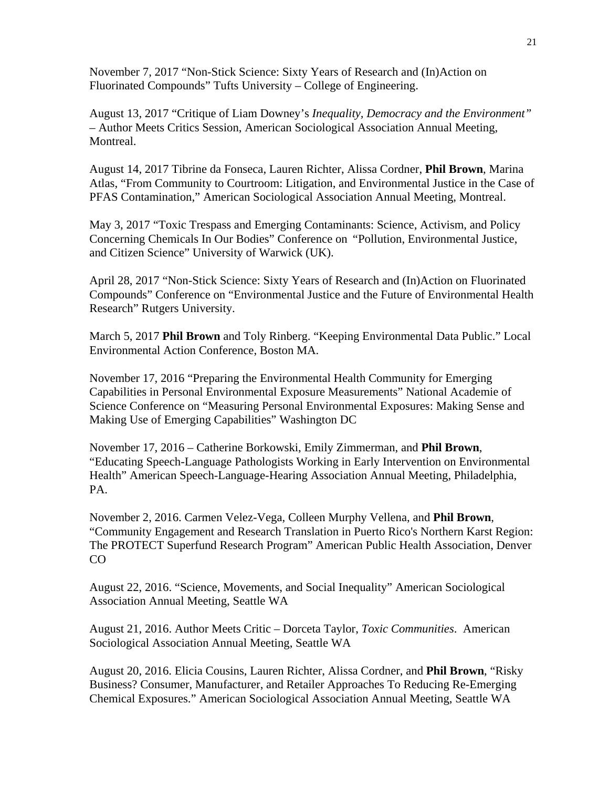November 7, 2017 "Non-Stick Science: Sixty Years of Research and (In)Action on Fluorinated Compounds" Tufts University – College of Engineering.

August 13, 2017 "Critique of Liam Downey's *Inequality, Democracy and the Environment"* – Author Meets Critics Session, American Sociological Association Annual Meeting, Montreal.

August 14, 2017 Tibrine da Fonseca, Lauren Richter, Alissa Cordner, **Phil Brown**, Marina Atlas, "From Community to Courtroom: Litigation, and Environmental Justice in the Case of PFAS Contamination," American Sociological Association Annual Meeting, Montreal.

May 3, 2017 "Toxic Trespass and Emerging Contaminants: Science, Activism, and Policy Concerning Chemicals In Our Bodies" Conference on "Pollution, Environmental Justice, and Citizen Science" University of Warwick (UK).

April 28, 2017 "Non-Stick Science: Sixty Years of Research and (In)Action on Fluorinated Compounds" Conference on "Environmental Justice and the Future of Environmental Health Research" Rutgers University.

March 5, 2017 **Phil Brown** and Toly Rinberg. "Keeping Environmental Data Public." Local Environmental Action Conference, Boston MA.

November 17, 2016 "Preparing the Environmental Health Community for Emerging Capabilities in Personal Environmental Exposure Measurements" National Academie of Science Conference on "Measuring Personal Environmental Exposures: Making Sense and Making Use of Emerging Capabilities" Washington DC

November 17, 2016 – Catherine Borkowski, Emily Zimmerman, and **Phil Brown**, "Educating Speech-Language Pathologists Working in Early Intervention on Environmental Health" American Speech-Language-Hearing Association Annual Meeting, Philadelphia, PA.

November 2, 2016. Carmen Velez-Vega, Colleen Murphy Vellena, and **Phil Brown**, "Community Engagement and Research Translation in Puerto Rico's Northern Karst Region: The PROTECT Superfund Research Program" American Public Health Association, Denver CO

August 22, 2016. "Science, Movements, and Social Inequality" American Sociological Association Annual Meeting, Seattle WA

August 21, 2016. Author Meets Critic – Dorceta Taylor, *Toxic Communities*. American Sociological Association Annual Meeting, Seattle WA

August 20, 2016. Elicia Cousins, Lauren Richter, Alissa Cordner, and **Phil Brown**, "Risky Business? Consumer, Manufacturer, and Retailer Approaches To Reducing Re-Emerging Chemical Exposures." American Sociological Association Annual Meeting, Seattle WA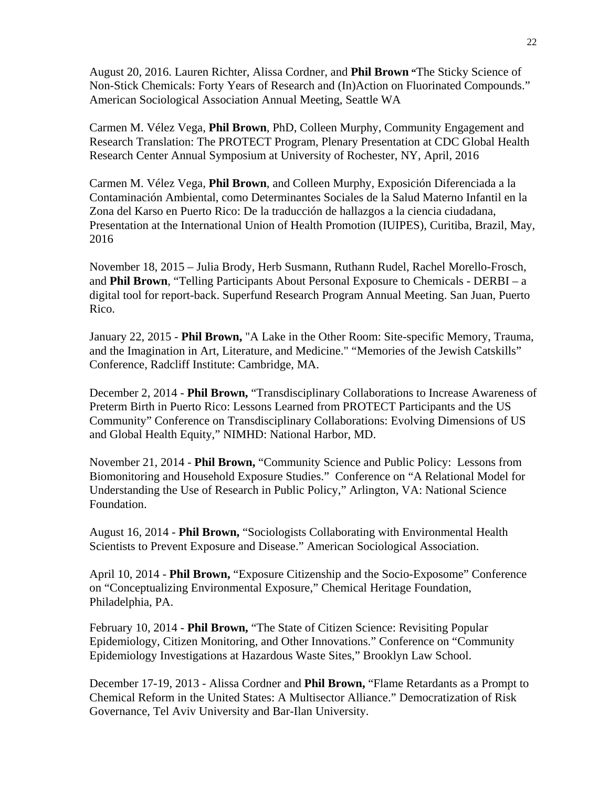August 20, 2016. Lauren Richter, Alissa Cordner, and **Phil Brown "**The Sticky Science of Non-Stick Chemicals: Forty Years of Research and (In)Action on Fluorinated Compounds." American Sociological Association Annual Meeting, Seattle WA

Carmen M. Vélez Vega, **Phil Brown**, PhD, Colleen Murphy, Community Engagement and Research Translation: The PROTECT Program, Plenary Presentation at CDC Global Health Research Center Annual Symposium at University of Rochester, NY, April, 2016

Carmen M. Vélez Vega, **Phil Brown**, and Colleen Murphy, Exposición Diferenciada a la Contaminación Ambiental, como Determinantes Sociales de la Salud Materno Infantil en la Zona del Karso en Puerto Rico: De la traducción de hallazgos a la ciencia ciudadana, Presentation at the International Union of Health Promotion (IUIPES), Curitiba, Brazil, May, 2016

November 18, 2015 – Julia Brody, Herb Susmann, Ruthann Rudel, Rachel Morello-Frosch, and **Phil Brown**, "Telling Participants About Personal Exposure to Chemicals - DERBI – a digital tool for report-back. Superfund Research Program Annual Meeting. San Juan, Puerto Rico.

January 22, 2015 - **Phil Brown,** "A Lake in the Other Room: Site-specific Memory, Trauma, and the Imagination in Art, Literature, and Medicine." "Memories of the Jewish Catskills" Conference, Radcliff Institute: Cambridge, MA.

December 2, 2014 - **Phil Brown,** "Transdisciplinary Collaborations to Increase Awareness of Preterm Birth in Puerto Rico: Lessons Learned from PROTECT Participants and the US Community" Conference on Transdisciplinary Collaborations: Evolving Dimensions of US and Global Health Equity," NIMHD: National Harbor, MD.

November 21, 2014 - **Phil Brown,** "Community Science and Public Policy: Lessons from Biomonitoring and Household Exposure Studies." Conference on "A Relational Model for Understanding the Use of Research in Public Policy," Arlington, VA: National Science Foundation.

August 16, 2014 - **Phil Brown,** "Sociologists Collaborating with Environmental Health Scientists to Prevent Exposure and Disease." American Sociological Association.

April 10, 2014 - **Phil Brown,** "Exposure Citizenship and the Socio-Exposome" Conference on "Conceptualizing Environmental Exposure," Chemical Heritage Foundation, Philadelphia, PA.

February 10, 2014 - **Phil Brown,** "The State of Citizen Science: Revisiting Popular Epidemiology, Citizen Monitoring, and Other Innovations." Conference on "Community Epidemiology Investigations at Hazardous Waste Sites," Brooklyn Law School.

December 17-19, 2013 - Alissa Cordner and **Phil Brown,** "Flame Retardants as a Prompt to Chemical Reform in the United States: A Multisector Alliance." Democratization of Risk Governance, Tel Aviv University and Bar-Ilan University.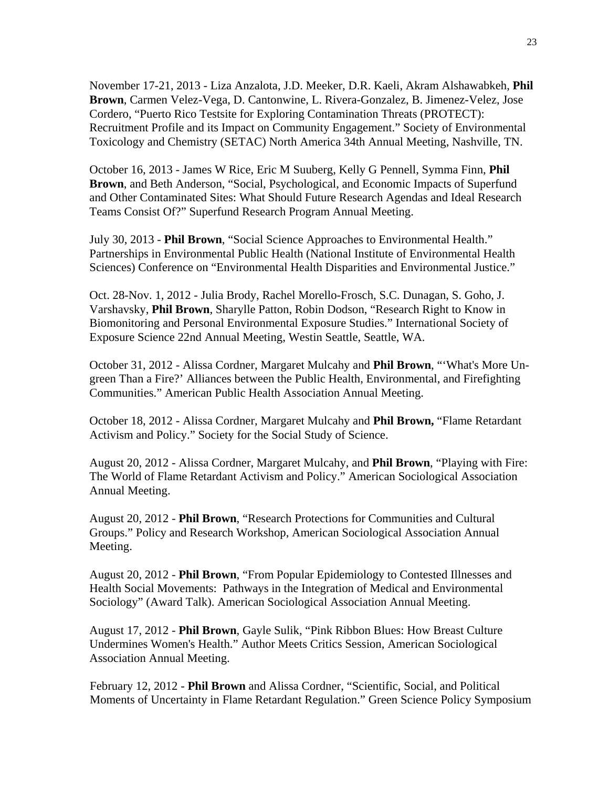November 17-21, 2013 - Liza Anzalota, J.D. Meeker, D.R. Kaeli, Akram Alshawabkeh, **Phil Brown**, Carmen Velez-Vega, D. Cantonwine, L. Rivera-Gonzalez, B. Jimenez-Velez, Jose Cordero, "Puerto Rico Testsite for Exploring Contamination Threats (PROTECT): Recruitment Profile and its Impact on Community Engagement." Society of Environmental Toxicology and Chemistry (SETAC) North America 34th Annual Meeting, Nashville, TN.

October 16, 2013 - James W Rice, Eric M Suuberg, Kelly G Pennell, Symma Finn, **Phil Brown**, and Beth Anderson, "Social, Psychological, and Economic Impacts of Superfund and Other Contaminated Sites: What Should Future Research Agendas and Ideal Research Teams Consist Of?" Superfund Research Program Annual Meeting.

July 30, 2013 - **Phil Brown**, "Social Science Approaches to Environmental Health." Partnerships in Environmental Public Health (National Institute of Environmental Health Sciences) Conference on "Environmental Health Disparities and Environmental Justice."

Oct. 28-Nov. 1, 2012 - Julia Brody, Rachel Morello-Frosch, S.C. Dunagan, S. Goho, J. Varshavsky, **Phil Brown**, Sharylle Patton, Robin Dodson, "Research Right to Know in Biomonitoring and Personal Environmental Exposure Studies." International Society of Exposure Science 22nd Annual Meeting, Westin Seattle, Seattle, WA.

October 31, 2012 - Alissa Cordner, Margaret Mulcahy and **Phil Brown**, "'What's More Ungreen Than a Fire?' Alliances between the Public Health, Environmental, and Firefighting Communities." American Public Health Association Annual Meeting.

October 18, 2012 - Alissa Cordner, Margaret Mulcahy and **Phil Brown,** "Flame Retardant Activism and Policy." Society for the Social Study of Science.

August 20, 2012 - Alissa Cordner, Margaret Mulcahy, and **Phil Brown**, "Playing with Fire: The World of Flame Retardant Activism and Policy." American Sociological Association Annual Meeting.

August 20, 2012 - **Phil Brown**, "Research Protections for Communities and Cultural Groups." Policy and Research Workshop, American Sociological Association Annual Meeting.

August 20, 2012 - **Phil Brown**, "From Popular Epidemiology to Contested Illnesses and Health Social Movements: Pathways in the Integration of Medical and Environmental Sociology" (Award Talk). American Sociological Association Annual Meeting.

August 17, 2012 - **Phil Brown**, Gayle Sulik, "Pink Ribbon Blues: How Breast Culture Undermines Women's Health." Author Meets Critics Session, American Sociological Association Annual Meeting.

February 12, 2012 - **Phil Brown** and Alissa Cordner, "Scientific, Social, and Political Moments of Uncertainty in Flame Retardant Regulation." Green Science Policy Symposium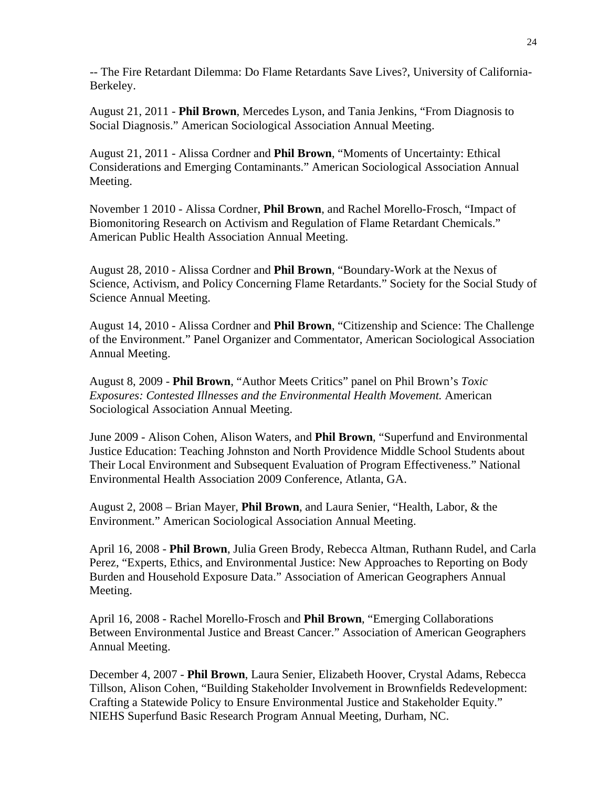-- The Fire Retardant Dilemma: Do Flame Retardants Save Lives?, University of California-Berkeley.

August 21, 2011 - **Phil Brown**, Mercedes Lyson, and Tania Jenkins, "From Diagnosis to Social Diagnosis." American Sociological Association Annual Meeting.

August 21, 2011 - Alissa Cordner and **Phil Brown**, "Moments of Uncertainty: Ethical Considerations and Emerging Contaminants." American Sociological Association Annual Meeting.

November 1 2010 - Alissa Cordner, **Phil Brown**, and Rachel Morello-Frosch, "Impact of Biomonitoring Research on Activism and Regulation of Flame Retardant Chemicals." American Public Health Association Annual Meeting.

August 28, 2010 - Alissa Cordner and **Phil Brown**, "Boundary-Work at the Nexus of Science, Activism, and Policy Concerning Flame Retardants." Society for the Social Study of Science Annual Meeting.

August 14, 2010 - Alissa Cordner and **Phil Brown**, "Citizenship and Science: The Challenge of the Environment." Panel Organizer and Commentator, American Sociological Association Annual Meeting.

August 8, 2009 - **Phil Brown**, "Author Meets Critics" panel on Phil Brown's *Toxic Exposures: Contested Illnesses and the Environmental Health Movement.* American Sociological Association Annual Meeting.

June 2009 - Alison Cohen, Alison Waters, and **Phil Brown**, "Superfund and Environmental Justice Education: Teaching Johnston and North Providence Middle School Students about Their Local Environment and Subsequent Evaluation of Program Effectiveness." National Environmental Health Association 2009 Conference, Atlanta, GA.

August 2, 2008 – Brian Mayer, **Phil Brown**, and Laura Senier, "Health, Labor, & the Environment." American Sociological Association Annual Meeting.

April 16, 2008 - **Phil Brown**, Julia Green Brody, Rebecca Altman, Ruthann Rudel, and Carla Perez, "Experts, Ethics, and Environmental Justice: New Approaches to Reporting on Body Burden and Household Exposure Data." Association of American Geographers Annual Meeting.

April 16, 2008 - Rachel Morello-Frosch and **Phil Brown**, "Emerging Collaborations Between Environmental Justice and Breast Cancer." Association of American Geographers Annual Meeting.

December 4, 2007 - **Phil Brown**, Laura Senier, Elizabeth Hoover, Crystal Adams, Rebecca Tillson, Alison Cohen, "Building Stakeholder Involvement in Brownfields Redevelopment: Crafting a Statewide Policy to Ensure Environmental Justice and Stakeholder Equity." NIEHS Superfund Basic Research Program Annual Meeting, Durham, NC.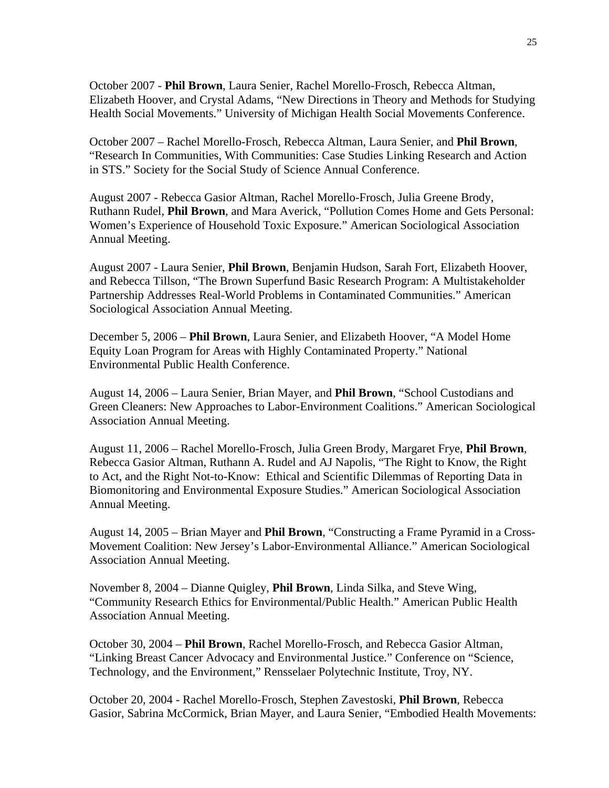October 2007 - **Phil Brown**, Laura Senier, Rachel Morello-Frosch, Rebecca Altman, Elizabeth Hoover, and Crystal Adams, "New Directions in Theory and Methods for Studying Health Social Movements." University of Michigan Health Social Movements Conference.

October 2007 – Rachel Morello-Frosch, Rebecca Altman, Laura Senier, and **Phil Brown**, "Research In Communities, With Communities: Case Studies Linking Research and Action in STS." Society for the Social Study of Science Annual Conference.

August 2007 - Rebecca Gasior Altman, Rachel Morello-Frosch, Julia Greene Brody, Ruthann Rudel, **Phil Brown**, and Mara Averick, "Pollution Comes Home and Gets Personal: Women's Experience of Household Toxic Exposure." American Sociological Association Annual Meeting.

August 2007 - Laura Senier, **Phil Brown**, Benjamin Hudson, Sarah Fort, Elizabeth Hoover, and Rebecca Tillson, "The Brown Superfund Basic Research Program: A Multistakeholder Partnership Addresses Real-World Problems in Contaminated Communities." American Sociological Association Annual Meeting.

December 5, 2006 – **Phil Brown**, Laura Senier, and Elizabeth Hoover, "A Model Home Equity Loan Program for Areas with Highly Contaminated Property." National Environmental Public Health Conference.

August 14, 2006 – Laura Senier, Brian Mayer, and **Phil Brown**, "School Custodians and Green Cleaners: New Approaches to Labor-Environment Coalitions." American Sociological Association Annual Meeting.

August 11, 2006 – Rachel Morello-Frosch, Julia Green Brody, Margaret Frye, **Phil Brown**, Rebecca Gasior Altman, Ruthann A. Rudel and AJ Napolis, "The Right to Know, the Right to Act, and the Right Not-to-Know: Ethical and Scientific Dilemmas of Reporting Data in Biomonitoring and Environmental Exposure Studies." American Sociological Association Annual Meeting.

August 14, 2005 – Brian Mayer and **Phil Brown**, "Constructing a Frame Pyramid in a Cross-Movement Coalition: New Jersey's Labor-Environmental Alliance." American Sociological Association Annual Meeting.

November 8, 2004 – Dianne Quigley, **Phil Brown**, Linda Silka, and Steve Wing, "Community Research Ethics for Environmental/Public Health." American Public Health Association Annual Meeting.

October 30, 2004 – **Phil Brown**, Rachel Morello-Frosch, and Rebecca Gasior Altman, "Linking Breast Cancer Advocacy and Environmental Justice." Conference on "Science, Technology, and the Environment," Rensselaer Polytechnic Institute, Troy, NY.

October 20, 2004 - Rachel Morello-Frosch, Stephen Zavestoski, **Phil Brown**, Rebecca Gasior, Sabrina McCormick, Brian Mayer, and Laura Senier, "Embodied Health Movements: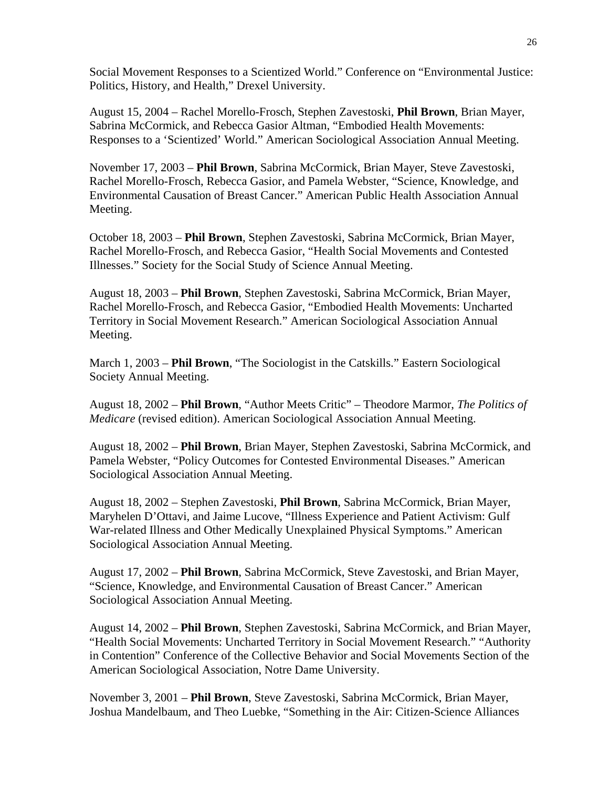Social Movement Responses to a Scientized World." Conference on "Environmental Justice: Politics, History, and Health," Drexel University.

August 15, 2004 – Rachel Morello-Frosch, Stephen Zavestoski, **Phil Brown**, Brian Mayer, Sabrina McCormick, and Rebecca Gasior Altman, "Embodied Health Movements: Responses to a 'Scientized' World." American Sociological Association Annual Meeting.

November 17, 2003 – **Phil Brown**, Sabrina McCormick, Brian Mayer, Steve Zavestoski, Rachel Morello-Frosch, Rebecca Gasior, and Pamela Webster, "Science, Knowledge, and Environmental Causation of Breast Cancer." American Public Health Association Annual Meeting.

October 18, 2003 – **Phil Brown**, Stephen Zavestoski, Sabrina McCormick, Brian Mayer, Rachel Morello-Frosch, and Rebecca Gasior, "Health Social Movements and Contested Illnesses." Society for the Social Study of Science Annual Meeting.

August 18, 2003 – **Phil Brown**, Stephen Zavestoski, Sabrina McCormick, Brian Mayer, Rachel Morello-Frosch, and Rebecca Gasior, "Embodied Health Movements: Uncharted Territory in Social Movement Research." American Sociological Association Annual Meeting.

March 1, 2003 – **Phil Brown**, "The Sociologist in the Catskills." Eastern Sociological Society Annual Meeting.

August 18, 2002 – **Phil Brown**, "Author Meets Critic" – Theodore Marmor, *The Politics of Medicare* (revised edition). American Sociological Association Annual Meeting.

August 18, 2002 – **Phil Brown**, Brian Mayer, Stephen Zavestoski, Sabrina McCormick, and Pamela Webster, "Policy Outcomes for Contested Environmental Diseases." American Sociological Association Annual Meeting.

August 18, 2002 – Stephen Zavestoski, **Phil Brown**, Sabrina McCormick, Brian Mayer, Maryhelen D'Ottavi, and Jaime Lucove, "Illness Experience and Patient Activism: Gulf War-related Illness and Other Medically Unexplained Physical Symptoms." American Sociological Association Annual Meeting.

August 17, 2002 – **Phil Brown**, Sabrina McCormick, Steve Zavestoski, and Brian Mayer, "Science, Knowledge, and Environmental Causation of Breast Cancer." American Sociological Association Annual Meeting.

August 14, 2002 – **Phil Brown**, Stephen Zavestoski, Sabrina McCormick, and Brian Mayer, "Health Social Movements: Uncharted Territory in Social Movement Research." "Authority in Contention" Conference of the Collective Behavior and Social Movements Section of the American Sociological Association, Notre Dame University.

November 3, 2001 – **Phil Brown**, Steve Zavestoski, Sabrina McCormick, Brian Mayer, Joshua Mandelbaum, and Theo Luebke, "Something in the Air: Citizen-Science Alliances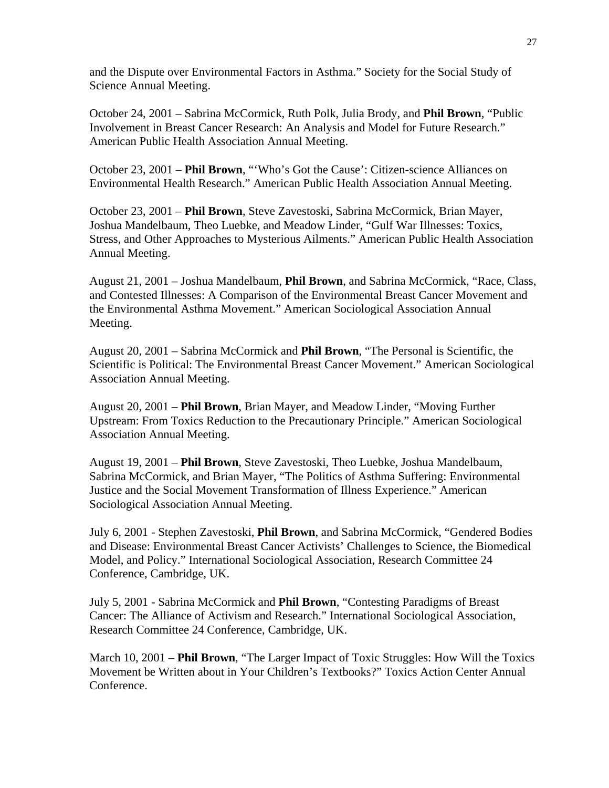and the Dispute over Environmental Factors in Asthma." Society for the Social Study of Science Annual Meeting.

October 24, 2001 – Sabrina McCormick, Ruth Polk, Julia Brody, and **Phil Brown**, "Public Involvement in Breast Cancer Research: An Analysis and Model for Future Research." American Public Health Association Annual Meeting.

October 23, 2001 – **Phil Brown**, "'Who's Got the Cause': Citizen-science Alliances on Environmental Health Research." American Public Health Association Annual Meeting.

October 23, 2001 – **Phil Brown**, Steve Zavestoski, Sabrina McCormick, Brian Mayer, Joshua Mandelbaum, Theo Luebke, and Meadow Linder, "Gulf War Illnesses: Toxics, Stress, and Other Approaches to Mysterious Ailments." American Public Health Association Annual Meeting.

August 21, 2001 – Joshua Mandelbaum, **Phil Brown**, and Sabrina McCormick, "Race, Class, and Contested Illnesses: A Comparison of the Environmental Breast Cancer Movement and the Environmental Asthma Movement." American Sociological Association Annual Meeting.

August 20, 2001 – Sabrina McCormick and **Phil Brown**, "The Personal is Scientific, the Scientific is Political: The Environmental Breast Cancer Movement." American Sociological Association Annual Meeting.

August 20, 2001 – **Phil Brown**, Brian Mayer, and Meadow Linder, "Moving Further Upstream: From Toxics Reduction to the Precautionary Principle." American Sociological Association Annual Meeting.

August 19, 2001 – **Phil Brown**, Steve Zavestoski, Theo Luebke, Joshua Mandelbaum, Sabrina McCormick, and Brian Mayer, "The Politics of Asthma Suffering: Environmental Justice and the Social Movement Transformation of Illness Experience." American Sociological Association Annual Meeting.

July 6, 2001 - Stephen Zavestoski, **Phil Brown**, and Sabrina McCormick, "Gendered Bodies and Disease: Environmental Breast Cancer Activists' Challenges to Science, the Biomedical Model, and Policy." International Sociological Association, Research Committee 24 Conference, Cambridge, UK.

July 5, 2001 - Sabrina McCormick and **Phil Brown**, "Contesting Paradigms of Breast Cancer: The Alliance of Activism and Research." International Sociological Association, Research Committee 24 Conference, Cambridge, UK.

March 10, 2001 – **Phil Brown**, "The Larger Impact of Toxic Struggles: How Will the Toxics Movement be Written about in Your Children's Textbooks?" Toxics Action Center Annual Conference.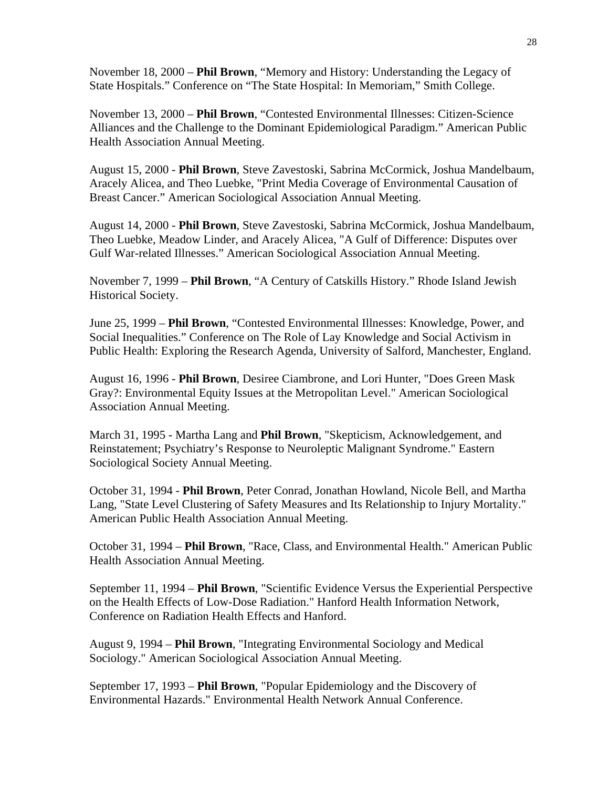November 18, 2000 – **Phil Brown**, "Memory and History: Understanding the Legacy of State Hospitals." Conference on "The State Hospital: In Memoriam," Smith College.

November 13, 2000 – **Phil Brown**, "Contested Environmental Illnesses: Citizen-Science Alliances and the Challenge to the Dominant Epidemiological Paradigm." American Public Health Association Annual Meeting.

August 15, 2000 - **Phil Brown**, Steve Zavestoski, Sabrina McCormick, Joshua Mandelbaum, Aracely Alicea, and Theo Luebke, "Print Media Coverage of Environmental Causation of Breast Cancer." American Sociological Association Annual Meeting.

August 14, 2000 - **Phil Brown**, Steve Zavestoski, Sabrina McCormick, Joshua Mandelbaum, Theo Luebke, Meadow Linder, and Aracely Alicea, "A Gulf of Difference: Disputes over Gulf War-related Illnesses." American Sociological Association Annual Meeting.

November 7, 1999 – **Phil Brown**, "A Century of Catskills History." Rhode Island Jewish Historical Society.

June 25, 1999 – **Phil Brown**, "Contested Environmental Illnesses: Knowledge, Power, and Social Inequalities." Conference on The Role of Lay Knowledge and Social Activism in Public Health: Exploring the Research Agenda, University of Salford, Manchester, England.

August 16, 1996 - **Phil Brown**, Desiree Ciambrone, and Lori Hunter, "Does Green Mask Gray?: Environmental Equity Issues at the Metropolitan Level." American Sociological Association Annual Meeting.

March 31, 1995 - Martha Lang and **Phil Brown**, "Skepticism, Acknowledgement, and Reinstatement; Psychiatry's Response to Neuroleptic Malignant Syndrome." Eastern Sociological Society Annual Meeting.

October 31, 1994 - **Phil Brown**, Peter Conrad, Jonathan Howland, Nicole Bell, and Martha Lang, "State Level Clustering of Safety Measures and Its Relationship to Injury Mortality." American Public Health Association Annual Meeting.

October 31, 1994 – **Phil Brown**, "Race, Class, and Environmental Health." American Public Health Association Annual Meeting.

September 11, 1994 – **Phil Brown**, "Scientific Evidence Versus the Experiential Perspective on the Health Effects of Low-Dose Radiation." Hanford Health Information Network, Conference on Radiation Health Effects and Hanford.

August 9, 1994 – **Phil Brown**, "Integrating Environmental Sociology and Medical Sociology." American Sociological Association Annual Meeting.

September 17, 1993 – **Phil Brown**, "Popular Epidemiology and the Discovery of Environmental Hazards." Environmental Health Network Annual Conference.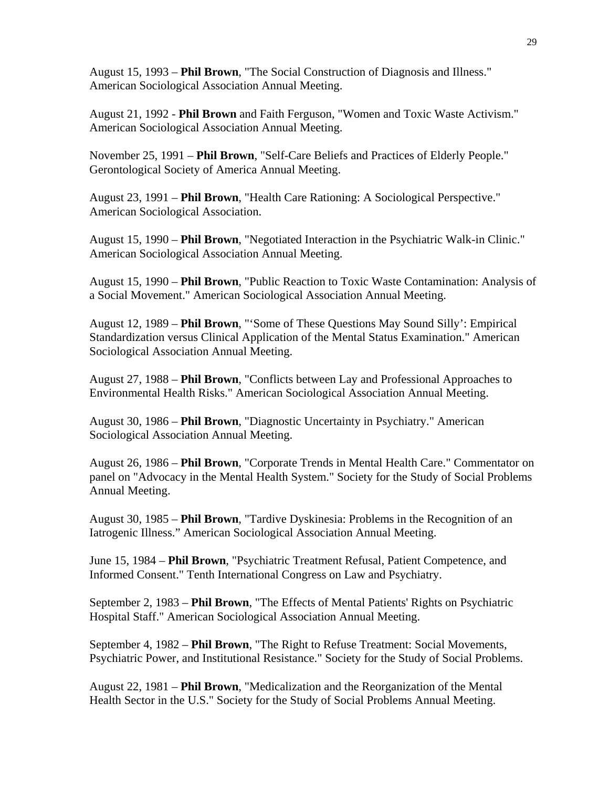August 15, 1993 – **Phil Brown**, "The Social Construction of Diagnosis and Illness." American Sociological Association Annual Meeting.

August 21, 1992 - **Phil Brown** and Faith Ferguson, "Women and Toxic Waste Activism." American Sociological Association Annual Meeting.

November 25, 1991 – **Phil Brown**, "Self-Care Beliefs and Practices of Elderly People." Gerontological Society of America Annual Meeting.

August 23, 1991 – **Phil Brown**, "Health Care Rationing: A Sociological Perspective." American Sociological Association.

August 15, 1990 – **Phil Brown**, "Negotiated Interaction in the Psychiatric Walk-in Clinic." American Sociological Association Annual Meeting.

August 15, 1990 – **Phil Brown**, "Public Reaction to Toxic Waste Contamination: Analysis of a Social Movement." American Sociological Association Annual Meeting.

August 12, 1989 – **Phil Brown**, "'Some of These Questions May Sound Silly': Empirical Standardization versus Clinical Application of the Mental Status Examination." American Sociological Association Annual Meeting.

August 27, 1988 – **Phil Brown**, "Conflicts between Lay and Professional Approaches to Environmental Health Risks." American Sociological Association Annual Meeting.

August 30, 1986 – **Phil Brown**, "Diagnostic Uncertainty in Psychiatry." American Sociological Association Annual Meeting.

August 26, 1986 – **Phil Brown**, "Corporate Trends in Mental Health Care." Commentator on panel on "Advocacy in the Mental Health System." Society for the Study of Social Problems Annual Meeting.

August 30, 1985 – **Phil Brown**, "Tardive Dyskinesia: Problems in the Recognition of an Iatrogenic Illness." American Sociological Association Annual Meeting.

June 15, 1984 – **Phil Brown**, "Psychiatric Treatment Refusal, Patient Competence, and Informed Consent." Tenth International Congress on Law and Psychiatry.

September 2, 1983 – **Phil Brown**, "The Effects of Mental Patients' Rights on Psychiatric Hospital Staff." American Sociological Association Annual Meeting.

September 4, 1982 – **Phil Brown**, "The Right to Refuse Treatment: Social Movements, Psychiatric Power, and Institutional Resistance." Society for the Study of Social Problems.

August 22, 1981 – **Phil Brown**, "Medicalization and the Reorganization of the Mental Health Sector in the U.S." Society for the Study of Social Problems Annual Meeting.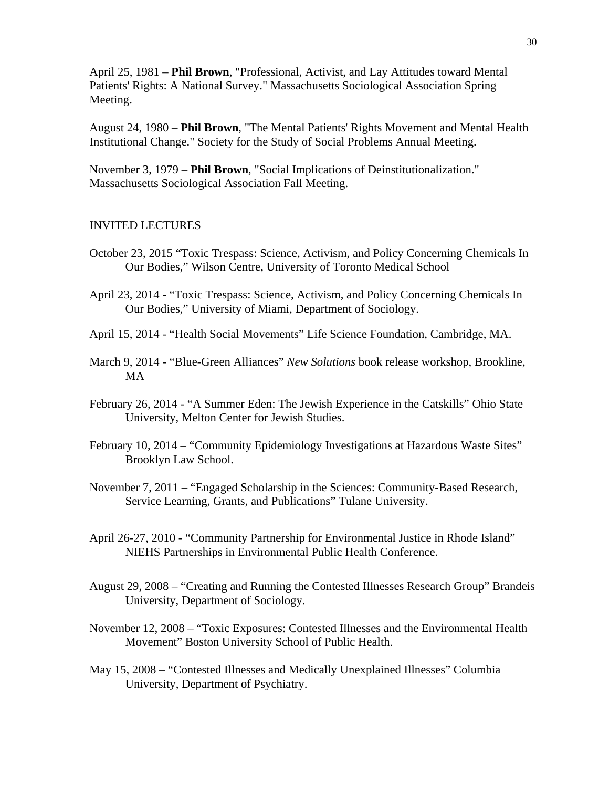April 25, 1981 – **Phil Brown**, "Professional, Activist, and Lay Attitudes toward Mental Patients' Rights: A National Survey." Massachusetts Sociological Association Spring Meeting.

August 24, 1980 – **Phil Brown**, "The Mental Patients' Rights Movement and Mental Health Institutional Change." Society for the Study of Social Problems Annual Meeting.

November 3, 1979 – **Phil Brown**, "Social Implications of Deinstitutionalization." Massachusetts Sociological Association Fall Meeting.

#### INVITED LECTURES

- October 23, 2015 "Toxic Trespass: Science, Activism, and Policy Concerning Chemicals In Our Bodies," Wilson Centre, University of Toronto Medical School
- April 23, 2014 "Toxic Trespass: Science, Activism, and Policy Concerning Chemicals In Our Bodies," University of Miami, Department of Sociology.
- April 15, 2014 "Health Social Movements" Life Science Foundation, Cambridge, MA.
- March 9, 2014 "Blue-Green Alliances" *New Solutions* book release workshop, Brookline, MA
- February 26, 2014 "A Summer Eden: The Jewish Experience in the Catskills" Ohio State University, Melton Center for Jewish Studies.
- February 10, 2014 "Community Epidemiology Investigations at Hazardous Waste Sites" Brooklyn Law School.
- November 7, 2011 "Engaged Scholarship in the Sciences: Community-Based Research, Service Learning, Grants, and Publications" Tulane University.
- April 26-27, 2010 "Community Partnership for Environmental Justice in Rhode Island" NIEHS Partnerships in Environmental Public Health Conference.
- August 29, 2008 "Creating and Running the Contested Illnesses Research Group" Brandeis University, Department of Sociology.
- November 12, 2008 "Toxic Exposures: Contested Illnesses and the Environmental Health Movement" Boston University School of Public Health.
- May 15, 2008 "Contested Illnesses and Medically Unexplained Illnesses" Columbia University, Department of Psychiatry.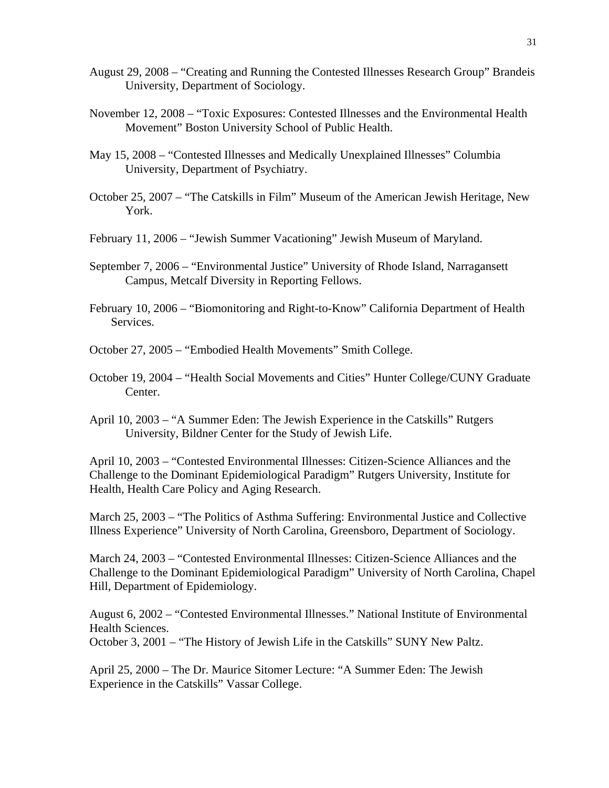- August 29, 2008 "Creating and Running the Contested Illnesses Research Group" Brandeis University, Department of Sociology.
- November 12, 2008 "Toxic Exposures: Contested Illnesses and the Environmental Health Movement" Boston University School of Public Health.
- May 15, 2008 "Contested Illnesses and Medically Unexplained Illnesses" Columbia University, Department of Psychiatry.
- October 25, 2007 "The Catskills in Film" Museum of the American Jewish Heritage, New York.
- February 11, 2006 "Jewish Summer Vacationing" Jewish Museum of Maryland.
- September 7, 2006 "Environmental Justice" University of Rhode Island, Narragansett Campus, Metcalf Diversity in Reporting Fellows.
- February 10, 2006 "Biomonitoring and Right-to-Know" California Department of Health Services.
- October 27, 2005 "Embodied Health Movements" Smith College.
- October 19, 2004 "Health Social Movements and Cities" Hunter College/CUNY Graduate Center.
- April 10, 2003 "A Summer Eden: The Jewish Experience in the Catskills" Rutgers University, Bildner Center for the Study of Jewish Life.

April 10, 2003 – "Contested Environmental Illnesses: Citizen-Science Alliances and the Challenge to the Dominant Epidemiological Paradigm" Rutgers University, Institute for Health, Health Care Policy and Aging Research.

March 25, 2003 – "The Politics of Asthma Suffering: Environmental Justice and Collective Illness Experience" University of North Carolina, Greensboro, Department of Sociology.

March 24, 2003 – "Contested Environmental Illnesses: Citizen-Science Alliances and the Challenge to the Dominant Epidemiological Paradigm" University of North Carolina, Chapel Hill, Department of Epidemiology.

August 6, 2002 – "Contested Environmental Illnesses." National Institute of Environmental Health Sciences.

October 3, 2001 – "The History of Jewish Life in the Catskills" SUNY New Paltz.

April 25, 2000 – The Dr. Maurice Sitomer Lecture: "A Summer Eden: The Jewish Experience in the Catskills" Vassar College.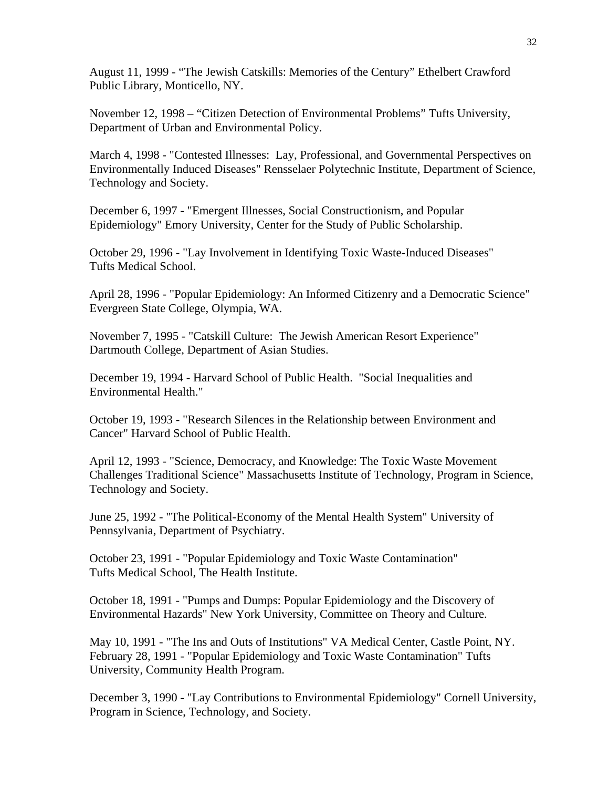August 11, 1999 - "The Jewish Catskills: Memories of the Century" Ethelbert Crawford Public Library, Monticello, NY.

November 12, 1998 – "Citizen Detection of Environmental Problems" Tufts University, Department of Urban and Environmental Policy.

March 4, 1998 - "Contested Illnesses: Lay, Professional, and Governmental Perspectives on Environmentally Induced Diseases" Rensselaer Polytechnic Institute, Department of Science, Technology and Society.

December 6, 1997 - "Emergent Illnesses, Social Constructionism, and Popular Epidemiology" Emory University, Center for the Study of Public Scholarship.

October 29, 1996 - "Lay Involvement in Identifying Toxic Waste-Induced Diseases" Tufts Medical School.

April 28, 1996 - "Popular Epidemiology: An Informed Citizenry and a Democratic Science" Evergreen State College, Olympia, WA.

November 7, 1995 - "Catskill Culture: The Jewish American Resort Experience" Dartmouth College, Department of Asian Studies.

December 19, 1994 - Harvard School of Public Health. "Social Inequalities and Environmental Health."

October 19, 1993 - "Research Silences in the Relationship between Environment and Cancer" Harvard School of Public Health.

April 12, 1993 - "Science, Democracy, and Knowledge: The Toxic Waste Movement Challenges Traditional Science" Massachusetts Institute of Technology, Program in Science, Technology and Society.

June 25, 1992 - "The Political-Economy of the Mental Health System" University of Pennsylvania, Department of Psychiatry.

October 23, 1991 - "Popular Epidemiology and Toxic Waste Contamination" Tufts Medical School, The Health Institute.

October 18, 1991 - "Pumps and Dumps: Popular Epidemiology and the Discovery of Environmental Hazards" New York University, Committee on Theory and Culture.

May 10, 1991 - "The Ins and Outs of Institutions" VA Medical Center, Castle Point, NY. February 28, 1991 - "Popular Epidemiology and Toxic Waste Contamination" Tufts University, Community Health Program.

December 3, 1990 - "Lay Contributions to Environmental Epidemiology" Cornell University, Program in Science, Technology, and Society.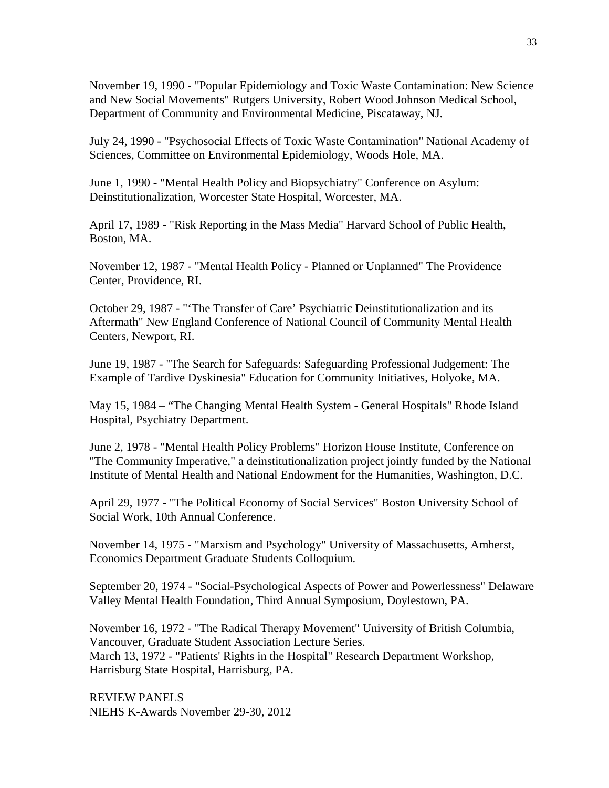November 19, 1990 - "Popular Epidemiology and Toxic Waste Contamination: New Science and New Social Movements" Rutgers University, Robert Wood Johnson Medical School, Department of Community and Environmental Medicine, Piscataway, NJ.

July 24, 1990 - "Psychosocial Effects of Toxic Waste Contamination" National Academy of Sciences, Committee on Environmental Epidemiology, Woods Hole, MA.

June 1, 1990 - "Mental Health Policy and Biopsychiatry" Conference on Asylum: Deinstitutionalization, Worcester State Hospital, Worcester, MA.

April 17, 1989 - "Risk Reporting in the Mass Media" Harvard School of Public Health, Boston, MA.

November 12, 1987 - "Mental Health Policy - Planned or Unplanned" The Providence Center, Providence, RI.

October 29, 1987 - "'The Transfer of Care' Psychiatric Deinstitutionalization and its Aftermath" New England Conference of National Council of Community Mental Health Centers, Newport, RI.

June 19, 1987 - "The Search for Safeguards: Safeguarding Professional Judgement: The Example of Tardive Dyskinesia" Education for Community Initiatives, Holyoke, MA.

May 15, 1984 – "The Changing Mental Health System - General Hospitals" Rhode Island Hospital, Psychiatry Department.

June 2, 1978 - "Mental Health Policy Problems" Horizon House Institute, Conference on "The Community Imperative," a deinstitutionalization project jointly funded by the National Institute of Mental Health and National Endowment for the Humanities, Washington, D.C.

April 29, 1977 - "The Political Economy of Social Services" Boston University School of Social Work, 10th Annual Conference.

November 14, 1975 - "Marxism and Psychology" University of Massachusetts, Amherst, Economics Department Graduate Students Colloquium.

September 20, 1974 - "Social-Psychological Aspects of Power and Powerlessness" Delaware Valley Mental Health Foundation, Third Annual Symposium, Doylestown, PA.

November 16, 1972 - "The Radical Therapy Movement" University of British Columbia, Vancouver, Graduate Student Association Lecture Series. March 13, 1972 - "Patients' Rights in the Hospital" Research Department Workshop, Harrisburg State Hospital, Harrisburg, PA.

REVIEW PANELS NIEHS K-Awards November 29-30, 2012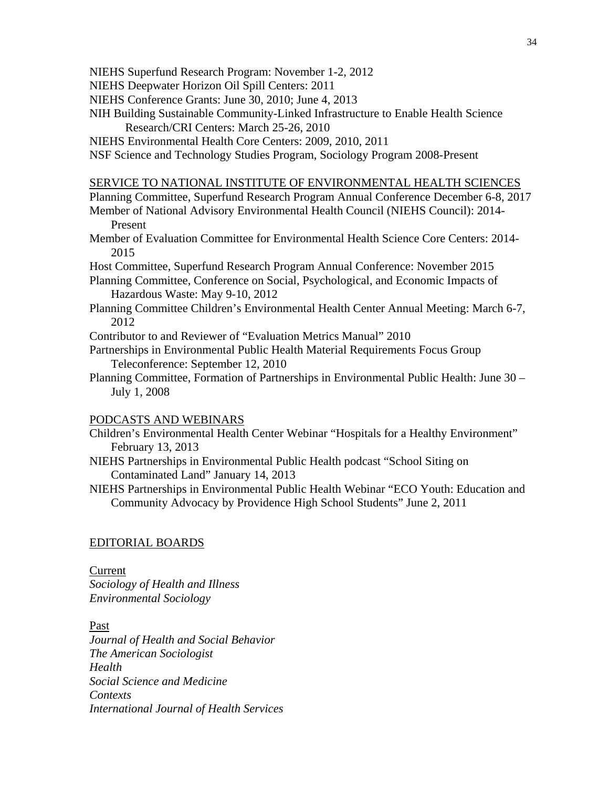- NIEHS Superfund Research Program: November 1-2, 2012
- NIEHS Deepwater Horizon Oil Spill Centers: 2011
- NIEHS Conference Grants: June 30, 2010; June 4, 2013
- NIH Building Sustainable Community-Linked Infrastructure to Enable Health Science Research/CRI Centers: March 25-26, 2010
- NIEHS Environmental Health Core Centers: 2009, 2010, 2011
- NSF Science and Technology Studies Program, Sociology Program 2008-Present

#### SERVICE TO NATIONAL INSTITUTE OF ENVIRONMENTAL HEALTH SCIENCES

- Planning Committee, Superfund Research Program Annual Conference December 6-8, 2017
- Member of National Advisory Environmental Health Council (NIEHS Council): 2014- Present
- Member of Evaluation Committee for Environmental Health Science Core Centers: 2014- 2015
- Host Committee, Superfund Research Program Annual Conference: November 2015
- Planning Committee, Conference on Social, Psychological, and Economic Impacts of Hazardous Waste: May 9-10, 2012
- Planning Committee Children's Environmental Health Center Annual Meeting: March 6-7, 2012
- Contributor to and Reviewer of "Evaluation Metrics Manual" 2010
- Partnerships in Environmental Public Health Material Requirements Focus Group Teleconference: September 12, 2010
- Planning Committee, Formation of Partnerships in Environmental Public Health: June 30 July 1, 2008

#### PODCASTS AND WEBINARS

- Children's Environmental Health Center Webinar "Hospitals for a Healthy Environment" February 13, 2013
- NIEHS Partnerships in Environmental Public Health podcast "School Siting on Contaminated Land" January 14, 2013
- NIEHS Partnerships in Environmental Public Health Webinar "ECO Youth: Education and Community Advocacy by Providence High School Students" June 2, 2011

#### EDITORIAL BOARDS

#### Current

*Sociology of Health and Illness Environmental Sociology* 

#### Past

*Journal of Health and Social Behavior The American Sociologist Health Social Science and Medicine Contexts International Journal of Health Services*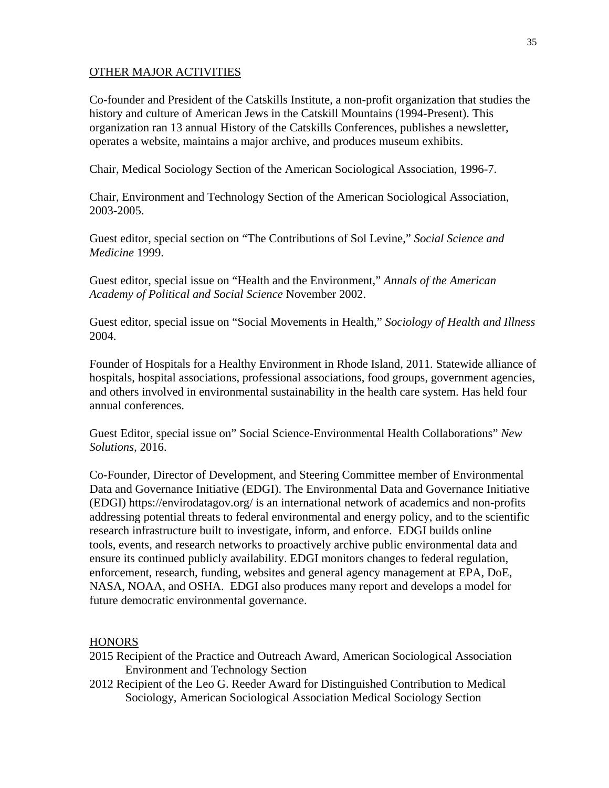# OTHER MAJOR ACTIVITIES

Co-founder and President of the Catskills Institute, a non-profit organization that studies the history and culture of American Jews in the Catskill Mountains (1994-Present). This organization ran 13 annual History of the Catskills Conferences, publishes a newsletter, operates a website, maintains a major archive, and produces museum exhibits.

Chair, Medical Sociology Section of the American Sociological Association, 1996-7.

Chair, Environment and Technology Section of the American Sociological Association, 2003-2005.

Guest editor, special section on "The Contributions of Sol Levine," *Social Science and Medicine* 1999.

Guest editor, special issue on "Health and the Environment," *Annals of the American Academy of Political and Social Science* November 2002.

Guest editor, special issue on "Social Movements in Health," *Sociology of Health and Illness* 2004.

Founder of Hospitals for a Healthy Environment in Rhode Island, 2011. Statewide alliance of hospitals, hospital associations, professional associations, food groups, government agencies, and others involved in environmental sustainability in the health care system. Has held four annual conferences.

Guest Editor, special issue on" Social Science-Environmental Health Collaborations" *New Solutions,* 2016.

Co-Founder, Director of Development, and Steering Committee member of Environmental Data and Governance Initiative (EDGI). The Environmental Data and Governance Initiative (EDGI) https://envirodatagov.org/ is an international network of academics and non-profits addressing potential threats to federal environmental and energy policy, and to the scientific research infrastructure built to investigate, inform, and enforce. EDGI builds online tools, events, and research networks to proactively archive public environmental data and ensure its continued publicly availability. EDGI monitors changes to federal regulation, enforcement, research, funding, websites and general agency management at EPA, DoE, NASA, NOAA, and OSHA. EDGI also produces many report and develops a model for future democratic environmental governance.

# **HONORS**

- 2015 Recipient of the Practice and Outreach Award, American Sociological Association Environment and Technology Section
- 2012 Recipient of the Leo G. Reeder Award for Distinguished Contribution to Medical Sociology, American Sociological Association Medical Sociology Section